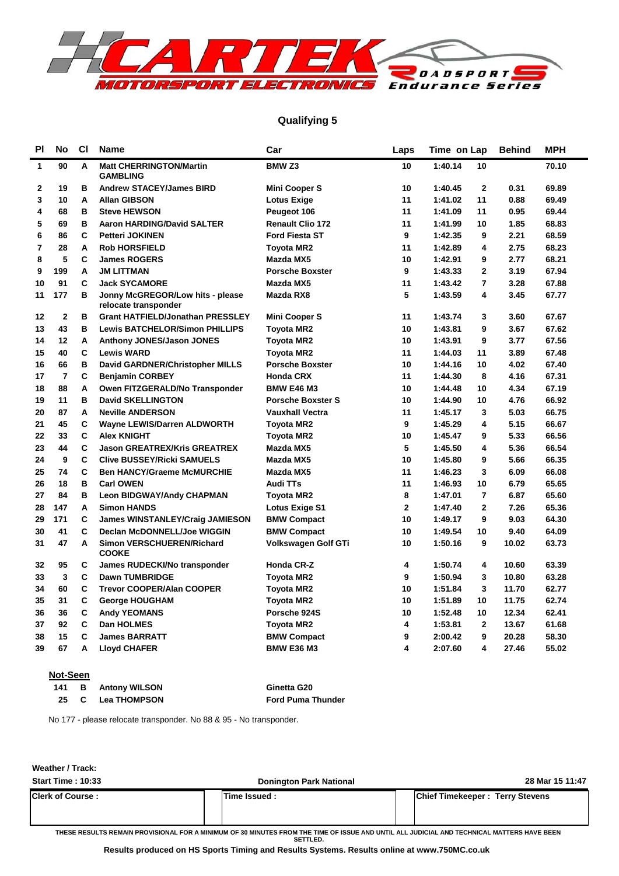

### **Qualifying 5**

| PI             | <b>No</b>      | <b>CI</b> | <b>Name</b>                                              | Car                      | Laps         | Time on Lap               | <b>Behind</b> | <b>MPH</b> |
|----------------|----------------|-----------|----------------------------------------------------------|--------------------------|--------------|---------------------------|---------------|------------|
| 1              | 90             | A         | <b>Matt CHERRINGTON/Martin</b><br><b>GAMBLING</b>        | <b>BMW Z3</b>            | 10           | 1:40.14<br>10             |               | 70.10      |
| 2              | 19             | в         | <b>Andrew STACEY/James BIRD</b>                          | <b>Mini Cooper S</b>     | 10           | $\mathbf 2$<br>1:40.45    | 0.31          | 69.89      |
| 3              | 10             | Α         | <b>Allan GIBSON</b>                                      | <b>Lotus Exige</b>       | 11           | 11<br>1:41.02             | 0.88          | 69.49      |
| 4              | 68             | B         | <b>Steve HEWSON</b>                                      | Peugeot 106              | 11           | 11<br>1:41.09             | 0.95          | 69.44      |
| 5              | 69             | B         | <b>Aaron HARDING/David SALTER</b>                        | <b>Renault Clio 172</b>  | 11           | 1:41.99<br>10             | 1.85          | 68.83      |
| 6              | 86             | C         | <b>Petteri JOKINEN</b>                                   | <b>Ford Fiesta ST</b>    | 9            | 1:42.35<br>9              | 2.21          | 68.59      |
| $\overline{7}$ | 28             | A         | <b>Rob HORSFIELD</b>                                     | <b>Toyota MR2</b>        | 11           | 1:42.89<br>4              | 2.75          | 68.23      |
| 8              | 5              | C         | <b>James ROGERS</b>                                      | Mazda MX5                | 10           | 1:42.91<br>9              | 2.77          | 68.21      |
| 9              | 199            | A         | <b>JM LITTMAN</b>                                        | <b>Porsche Boxster</b>   | 9            | 1:43.33<br>$\mathbf{2}$   | 3.19          | 67.94      |
| 10             | 91             | C         | <b>Jack SYCAMORE</b>                                     | Mazda MX5                | 11           | 1:43.42<br>$\overline{7}$ | 3.28          | 67.88      |
| 11             | 177            | B         | Jonny McGREGOR/Low hits - please<br>relocate transponder | Mazda RX8                | 5            | 4<br>1:43.59              | 3.45          | 67.77      |
| 12             | $\mathbf 2$    | B         | <b>Grant HATFIELD/Jonathan PRESSLEY</b>                  | Mini Cooper S            | 11           | 1:43.74<br>3              | 3.60          | 67.67      |
| 13             | 43             | B         | <b>Lewis BATCHELOR/Simon PHILLIPS</b>                    | <b>Toyota MR2</b>        | 10           | 9<br>1:43.81              | 3.67          | 67.62      |
| 14             | 12             | A         | Anthony JONES/Jason JONES                                | <b>Toyota MR2</b>        | 10           | 1:43.91<br>9              | 3.77          | 67.56      |
| 15             | 40             | C         | <b>Lewis WARD</b>                                        | <b>Toyota MR2</b>        | 11           | 1:44.03<br>11             | 3.89          | 67.48      |
| 16             | 66             | B         | David GARDNER/Christopher MILLS                          | <b>Porsche Boxster</b>   | 10           | 1:44.16<br>10             | 4.02          | 67.40      |
| 17             | $\overline{7}$ | C         | <b>Benjamin CORBEY</b>                                   | <b>Honda CRX</b>         | 11           | 1:44.30<br>8              | 4.16          | 67.31      |
| 18             | 88             | Α         | Owen FITZGERALD/No Transponder                           | <b>BMW E46 M3</b>        | 10           | 1:44.48<br>10             | 4.34          | 67.19      |
| 19             | 11             | B         | <b>David SKELLINGTON</b>                                 | <b>Porsche Boxster S</b> | 10           | 1:44.90<br>10             | 4.76          | 66.92      |
| 20             | 87             | A         | <b>Neville ANDERSON</b>                                  | <b>Vauxhall Vectra</b>   | 11           | 1:45.17<br>3              | 5.03          | 66.75      |
| 21             | 45             | C         | <b>Wayne LEWIS/Darren ALDWORTH</b>                       | <b>Toyota MR2</b>        | 9            | 4<br>1:45.29              | 5.15          | 66.67      |
| 22             | 33             | C         | <b>Alex KNIGHT</b>                                       | <b>Toyota MR2</b>        | 10           | 1:45.47<br>9              | 5.33          | 66.56      |
| 23             | 44             | C         | <b>Jason GREATREX/Kris GREATREX</b>                      | Mazda MX5                | 5            | 1:45.50<br>4              | 5.36          | 66.54      |
| 24             | 9              | C         | <b>Clive BUSSEY/Ricki SAMUELS</b>                        | Mazda MX5                | 10           | 1:45.80<br>9              | 5.66          | 66.35      |
| 25             | 74             | C         | <b>Ben HANCY/Graeme McMURCHIE</b>                        | Mazda MX5                | 11           | 3<br>1:46.23              | 6.09          | 66.08      |
| 26             | 18             | в         | <b>Carl OWEN</b>                                         | <b>Audi TTs</b>          | 11           | 1:46.93<br>10             | 6.79          | 65.65      |
| 27             | 84             | B         | <b>Leon BIDGWAY/Andy CHAPMAN</b>                         | <b>Toyota MR2</b>        | 8            | 1:47.01<br>$\overline{7}$ | 6.87          | 65.60      |
| 28             | 147            | A         | <b>Simon HANDS</b>                                       | Lotus Exige S1           | $\mathbf{2}$ | $\overline{2}$<br>1:47.40 | 7.26          | 65.36      |
| 29             | 171            | C         | <b>James WINSTANLEY/Craig JAMIESON</b>                   | <b>BMW Compact</b>       | 10           | 9<br>1:49.17              | 9.03          | 64.30      |
| 30             | 41             | C         | Declan McDONNELL/Joe WIGGIN                              | <b>BMW Compact</b>       | 10           | 1:49.54<br>10             | 9.40          | 64.09      |
| 31             | 47             | A         | Simon VERSCHUEREN/Richard<br><b>COOKE</b>                | Volkswagen Golf GTi      | 10           | 1:50.16<br>9              | 10.02         | 63.73      |
| 32             | 95             | C         | James RUDECKI/No transponder                             | Honda CR-Z               | 4            | 1:50.74<br>4              | 10.60         | 63.39      |
| 33             | 3              | C         | <b>Dawn TUMBRIDGE</b>                                    | Toyota MR2               | 9            | 1:50.94<br>3              | 10.80         | 63.28      |
| 34             | 60             | C         | <b>Trevor COOPER/Alan COOPER</b>                         | Toyota MR2               | 10           | 3<br>1:51.84              | 11.70         | 62.77      |
| 35             | 31             | C         | <b>George HOUGHAM</b>                                    | Toyota MR2               | 10           | 1:51.89<br>10             | 11.75         | 62.74      |
| 36             | 36             | C         | <b>Andy YEOMANS</b>                                      | Porsche 924S             | 10           | 1:52.48<br>10             | 12.34         | 62.41      |
| 37             | 92             | C         | <b>Dan HOLMES</b>                                        | <b>Toyota MR2</b>        | 4            | 1:53.81<br>$\mathbf{2}$   | 13.67         | 61.68      |
| 38             | 15             | C         | <b>James BARRATT</b>                                     | <b>BMW Compact</b>       | 9            | 9<br>2:00.42              | 20.28         | 58.30      |
| 39             | 67             | A         | <b>Lloyd CHAFER</b>                                      | <b>BMW E36 M3</b>        | 4            | 4<br>2:07.60              | 27.46         | 55.02      |

#### **Not-Seen**

| 141 | <b>B</b> Antony WILSON | Ginetta G20              |
|-----|------------------------|--------------------------|
| 25  | <b>C</b> Lea THOMPSON  | <b>Ford Puma Thunder</b> |

No 177 - please relocate transponder. No 88 & 95 - No transponder.

**Weather / Track:** 

| <b>Start Time: 10:33</b> | <b>Donington Park National</b> | 28 Mar 15 11:47                        |
|--------------------------|--------------------------------|----------------------------------------|
| <b>Clerk of Course:</b>  | lTime Issued :                 | <b>Chief Timekeeper: Terry Stevens</b> |
|                          |                                |                                        |

**THESE RESULTS REMAIN PROVISIONAL FOR A MINIMUM OF 30 MINUTES FROM THE TIME OF ISSUE AND UNTIL ALL JUDICIAL AND TECHNICAL MATTERS HAVE BEEN SETTLED.**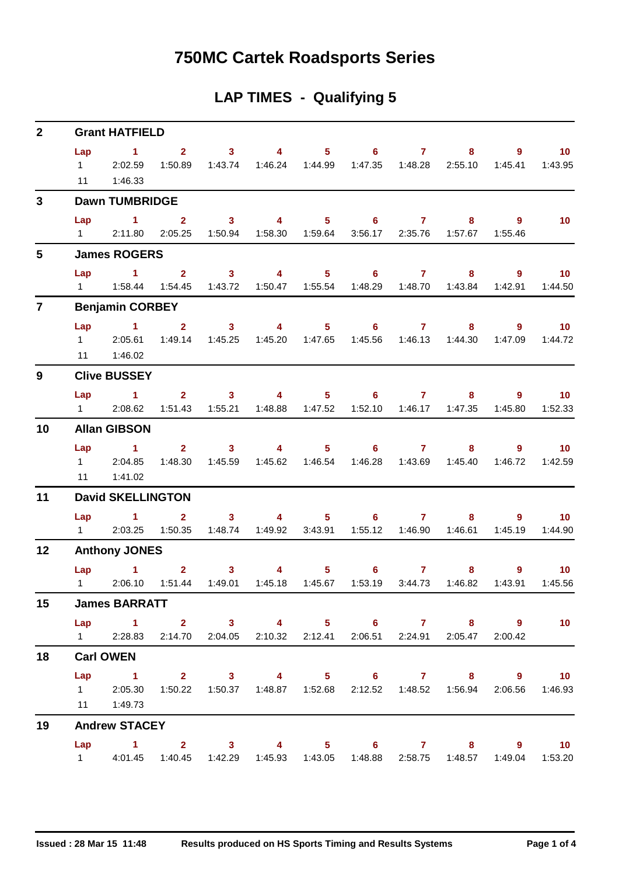## **750MC Cartek Roadsports Series**

## **LAP TIMES - Qualifying 5**

| $\overline{2}$ |           | <b>Grant HATFIELD</b>                                                                                                    |                |                                                                                                                                                                                                                                                                                                                                                                                                                         |                                                                                                                                                                                                                                                                                                                                    |                                                                                   |                                |       |                           |                                           |
|----------------|-----------|--------------------------------------------------------------------------------------------------------------------------|----------------|-------------------------------------------------------------------------------------------------------------------------------------------------------------------------------------------------------------------------------------------------------------------------------------------------------------------------------------------------------------------------------------------------------------------------|------------------------------------------------------------------------------------------------------------------------------------------------------------------------------------------------------------------------------------------------------------------------------------------------------------------------------------|-----------------------------------------------------------------------------------|--------------------------------|-------|---------------------------|-------------------------------------------|
|                | Lap<br>11 | <b>Contract 1. All Streets</b><br>12:02.59<br>1:46.33                                                                    |                | $2 \t 3$                                                                                                                                                                                                                                                                                                                                                                                                                |                                                                                                                                                                                                                                                                                                                                    | 4 5 6 7<br>1:50.89  1:43.74  1:46.24  1:44.99  1:47.35  1:48.28  2:55.10  1:45.41 |                                | $8 -$ | $9^{\circ}$               | $\sim$ 10<br>1:43.95                      |
| $\mathbf{3}$   |           | <b>Dawn TUMBRIDGE</b>                                                                                                    |                |                                                                                                                                                                                                                                                                                                                                                                                                                         |                                                                                                                                                                                                                                                                                                                                    |                                                                                   |                                |       |                           |                                           |
|                | Lap       | $\sim$ 1<br>1  2:11.80  2:05.25  1:50.94  1:58.30  1:59.64  3:56.17  2:35.76  1:57.67  1:55.46                           | $\overline{2}$ | $\overline{\mathbf{3}}$                                                                                                                                                                                                                                                                                                                                                                                                 |                                                                                                                                                                                                                                                                                                                                    | 4 5 6 7                                                                           |                                |       | $\overline{9}$<br>$8 - 8$ | 10                                        |
| 5              |           | <b>James ROGERS</b>                                                                                                      |                |                                                                                                                                                                                                                                                                                                                                                                                                                         |                                                                                                                                                                                                                                                                                                                                    |                                                                                   |                                |       |                           |                                           |
|                |           | Lap 1 2 3 4 5 6 7<br>1   1:58.44   1:54.45   1:43.72   1:50.47   1:55.54   1:48.29   1:48.70   1:43.84                   |                |                                                                                                                                                                                                                                                                                                                                                                                                                         |                                                                                                                                                                                                                                                                                                                                    |                                                                                   |                                | $8 -$ | $\overline{9}$<br>1:42.91 | $\blacksquare$ 10<br>1:44.50              |
| $\overline{7}$ |           | <b>Benjamin CORBEY</b>                                                                                                   |                |                                                                                                                                                                                                                                                                                                                                                                                                                         |                                                                                                                                                                                                                                                                                                                                    |                                                                                   |                                |       |                           |                                           |
|                |           | Lap 1<br>1 2:05.61 1:49.14 1:45.25 1:45.20 1:47.65 1:45.56 1:46.13 1:44.30 1:47.09<br>11  1:46.02                        | 2 <sup>1</sup> | 3 <sup>7</sup>                                                                                                                                                                                                                                                                                                                                                                                                          |                                                                                                                                                                                                                                                                                                                                    | 4 5 6 7                                                                           |                                |       | $8^{\circ}$               | $9 \t 10$<br>1:44.72                      |
| 9              |           | <b>Clive BUSSEY</b>                                                                                                      |                |                                                                                                                                                                                                                                                                                                                                                                                                                         |                                                                                                                                                                                                                                                                                                                                    |                                                                                   |                                |       |                           |                                           |
|                | Lap       | $\sim$ $\sim$ 1<br>1 2:08.62 1:51.43 1:55.21 1:48.88 1:47.52 1:52.10 1:46.17 1:47.35 1:45.80                             |                |                                                                                                                                                                                                                                                                                                                                                                                                                         |                                                                                                                                                                                                                                                                                                                                    | $2 \qquad 3 \qquad 4 \qquad 5 \qquad 6 \qquad 7$                                  |                                |       | $8 - 1$                   | $9 \t 10$<br>1:52.33                      |
| 10             |           | <b>Allan GIBSON</b>                                                                                                      |                |                                                                                                                                                                                                                                                                                                                                                                                                                         |                                                                                                                                                                                                                                                                                                                                    |                                                                                   |                                |       |                           |                                           |
|                | 11        | Lap 1<br>1 2:04.85<br>1:41.02                                                                                            | 1:48.30        | 1:45.59                                                                                                                                                                                                                                                                                                                                                                                                                 |                                                                                                                                                                                                                                                                                                                                    | $2 \qquad 3 \qquad 4 \qquad 5 \qquad 6 \qquad 7$                                  |                                | $8 -$ | $9^{\circ}$<br>1:46.72    | $\blacksquare$ 10<br>1:42.59              |
| 11             |           | <b>David SKELLINGTON</b>                                                                                                 |                |                                                                                                                                                                                                                                                                                                                                                                                                                         |                                                                                                                                                                                                                                                                                                                                    |                                                                                   |                                |       |                           |                                           |
|                |           | $Lap$ 1<br>1 2:03.25 1:50.35 1:48.74 1:49.92 3:43.91 1:55.12 1:46.90 1:46.61                                             | $2^{\circ}$    | 3 <sup>7</sup>                                                                                                                                                                                                                                                                                                                                                                                                          |                                                                                                                                                                                                                                                                                                                                    | 4 5 6 7                                                                           |                                |       | $9^{\circ}$<br>1:45.19    | $\blacksquare$ 10<br>1:44.90              |
| 12             |           | <b>Anthony JONES</b>                                                                                                     |                |                                                                                                                                                                                                                                                                                                                                                                                                                         |                                                                                                                                                                                                                                                                                                                                    |                                                                                   |                                |       |                           |                                           |
|                |           | Lap 1<br>1 2:06.10 1:51.44 1:49.01 1:45.18 1:45.67 1:53.19 3:44.73 1:46.82                                               |                | 3 <sup>7</sup><br>$\overline{\mathbf{2}}$ and $\overline{\mathbf{2}}$ and $\overline{\mathbf{2}}$ and $\overline{\mathbf{2}}$ and $\overline{\mathbf{2}}$ and $\overline{\mathbf{2}}$ and $\overline{\mathbf{2}}$ and $\overline{\mathbf{2}}$ and $\overline{\mathbf{2}}$ and $\overline{\mathbf{2}}$ and $\overline{\mathbf{2}}$ and $\overline{\mathbf{2}}$ and $\overline{\mathbf{2}}$ and $\overline{\mathbf{2}}$ a | $\overline{4}$ and $\overline{4}$ and $\overline{4}$ and $\overline{4}$ and $\overline{4}$ and $\overline{4}$ and $\overline{4}$ and $\overline{4}$ and $\overline{4}$ and $\overline{4}$ and $\overline{4}$ and $\overline{4}$ and $\overline{4}$ and $\overline{4}$ and $\overline{4}$ and $\overline{4}$ and $\overline{4}$ and | $5^{\circ}$                                                                       | $6 \qquad \qquad$<br>$7 \pm 7$ | 8     | 1:43.91                   | $9^{\circ}$<br>10 <sup>°</sup><br>1:45.56 |
| 15             |           | <b>James BARRATT</b>                                                                                                     |                |                                                                                                                                                                                                                                                                                                                                                                                                                         |                                                                                                                                                                                                                                                                                                                                    |                                                                                   |                                |       |                           |                                           |
|                |           | Lap 1 2 3 4 5 6 7 8 9<br>1 2:28.83 2:14.70 2:04.05 2:10.32 2:12.41 2:06.51 2:24.91 2:05.47 2:00.42                       |                |                                                                                                                                                                                                                                                                                                                                                                                                                         |                                                                                                                                                                                                                                                                                                                                    |                                                                                   |                                |       |                           | 10                                        |
| 18             |           | <b>Carl OWEN</b>                                                                                                         |                |                                                                                                                                                                                                                                                                                                                                                                                                                         |                                                                                                                                                                                                                                                                                                                                    |                                                                                   |                                |       |                           |                                           |
|                | Lap       | 1 2 3 4 5 6 7 8 9 10<br>1 2:05.30 1:50.22 1:50.37 1:48.87 1:52.68 2:12.52 1:48.52 1:56.94 2:06.56 1:46.93<br>11  1:49.73 |                |                                                                                                                                                                                                                                                                                                                                                                                                                         |                                                                                                                                                                                                                                                                                                                                    |                                                                                   |                                |       |                           |                                           |
| 19             |           | <b>Andrew STACEY</b>                                                                                                     |                |                                                                                                                                                                                                                                                                                                                                                                                                                         |                                                                                                                                                                                                                                                                                                                                    |                                                                                   |                                |       |                           |                                           |
|                |           | Lap 1 2 3 4 5 6 7 8 9 10<br>4:01.45  1:40.45  1:42.29  1:45.93  1:43.05  1:48.88  2:58.75  1:48.57  1:49.04  1:53.20     |                |                                                                                                                                                                                                                                                                                                                                                                                                                         |                                                                                                                                                                                                                                                                                                                                    |                                                                                   |                                |       |                           |                                           |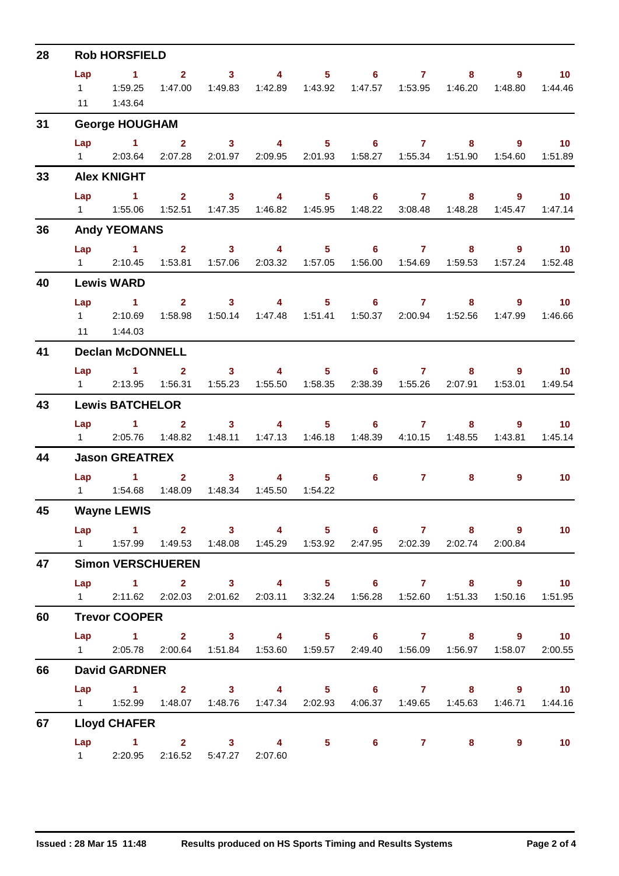| 28 |                       | <b>Rob HORSFIELD</b>                                                                                                              |                  |                                                                                                                                                                                                                                                                                                                                                                                                       |                           |         |                                                                        |         |                           |                         |                            |
|----|-----------------------|-----------------------------------------------------------------------------------------------------------------------------------|------------------|-------------------------------------------------------------------------------------------------------------------------------------------------------------------------------------------------------------------------------------------------------------------------------------------------------------------------------------------------------------------------------------------------------|---------------------------|---------|------------------------------------------------------------------------|---------|---------------------------|-------------------------|----------------------------|
|    | Lap<br>11             | $\sim$ 1<br>1:43.64                                                                                                               |                  | 1:47.00  1:49.83                                                                                                                                                                                                                                                                                                                                                                                      |                           |         | 2 3 4 5 6 7                                                            |         |                           | $8 - 1$                 | $9 \t 10$<br>1:44.46       |
| 31 |                       | <b>George HOUGHAM</b>                                                                                                             |                  |                                                                                                                                                                                                                                                                                                                                                                                                       |                           |         |                                                                        |         |                           |                         |                            |
|    | Lap                   | 1 2 3 4 5 6 7 8 9 10<br>1 2:03.64 2:07.28 2:01.97 2:09.95 2:01.93 1:58.27 1:55.34 1:51.90 1:54.60 1:51.89                         |                  |                                                                                                                                                                                                                                                                                                                                                                                                       |                           |         |                                                                        |         |                           |                         |                            |
| 33 |                       | <b>Alex KNIGHT</b>                                                                                                                |                  |                                                                                                                                                                                                                                                                                                                                                                                                       |                           |         |                                                                        |         |                           |                         |                            |
|    | Lap                   | $\sim$ $\sim$ 1<br>1   1:55.06   1:52.51   1:47.35   1:46.82   1:45.95   1:48.22   3:08.48   1:48.28   1:45.47   1:47.14          |                  |                                                                                                                                                                                                                                                                                                                                                                                                       |                           |         | 2 3 4 5 6 7 8 9 10                                                     |         |                           |                         |                            |
| 36 |                       | <b>Andy YEOMANS</b>                                                                                                               |                  |                                                                                                                                                                                                                                                                                                                                                                                                       |                           |         |                                                                        |         |                           |                         |                            |
|    | $1 \quad \Box$        | Lap 1 2 3 4 5 6 7 8 9 10<br>2:10.45                                                                                               | 1:53.81          |                                                                                                                                                                                                                                                                                                                                                                                                       |                           |         | 1:57.06  2:03.32  1:57.05  1:56.00  1:54.69  1:59.53                   |         |                           |                         | 1:57.24  1:52.48           |
| 40 |                       | <b>Lewis WARD</b>                                                                                                                 |                  |                                                                                                                                                                                                                                                                                                                                                                                                       |                           |         |                                                                        |         |                           |                         |                            |
|    | Lap<br>$1 \quad \Box$ | 1 2 3 4 5 6 7 8<br>2:10.69<br>11  1:44.03                                                                                         |                  |                                                                                                                                                                                                                                                                                                                                                                                                       |                           |         | 1:58.98  1:50.14  1:47.48  1:51.41  1:50.37  2:00.94  1:52.56  1:47.99 |         |                           |                         | $9 \t 10$<br>1:46.66       |
| 41 |                       | <b>Declan McDONNELL</b>                                                                                                           |                  |                                                                                                                                                                                                                                                                                                                                                                                                       |                           |         |                                                                        |         |                           |                         |                            |
|    | $1 \quad \Box$        | Lap 1 2 3 4 5 6 7 8 9 10                                                                                                          | 2:13.95 1:56.31  |                                                                                                                                                                                                                                                                                                                                                                                                       |                           |         |                                                                        |         | 2:38.39  1:55.26  2:07.91 | 1:53.01                 | 1:49.54                    |
| 43 |                       | <b>Lewis BATCHELOR</b>                                                                                                            |                  |                                                                                                                                                                                                                                                                                                                                                                                                       |                           |         |                                                                        |         |                           |                         |                            |
|    | $1 \quad \Box$        | Lap 1 2 3 4 5 6 7                                                                                                                 | 2:05.76  1:48.82 |                                                                                                                                                                                                                                                                                                                                                                                                       | 1:48.11  1:47.13  1:46.18 |         | 1:48.39                                                                | 4:10.15 | 1:48.55                   | $8 - 1$<br>9<br>1:43.81 | $\overline{10}$<br>1:45.14 |
| 44 |                       | <b>Jason GREATREX</b>                                                                                                             |                  |                                                                                                                                                                                                                                                                                                                                                                                                       |                           |         |                                                                        |         |                           |                         |                            |
|    |                       | Lap 1<br>1   1:54.68   1:48.09   1:48.34                                                                                          |                  | $\overline{\mathbf{2}}$ and $\overline{\mathbf{2}}$ and $\overline{\mathbf{2}}$ and $\overline{\mathbf{2}}$ and $\overline{\mathbf{2}}$ and $\overline{\mathbf{2}}$ and $\overline{\mathbf{2}}$ and $\overline{\mathbf{2}}$ and $\overline{\mathbf{2}}$ and $\overline{\mathbf{2}}$ and $\overline{\mathbf{2}}$ and $\overline{\mathbf{2}}$ and $\overline{\mathbf{2}}$ and $\overline{\mathbf{2}}$ a | $3 \t 4$<br>1:45.50       | 1:54.22 | $5 \t\t 6 \t\t 7$                                                      |         | 8 <sup>1</sup>            | $9^{\circ}$             | 10                         |
| 45 |                       | <b>Wayne LEWIS</b>                                                                                                                |                  |                                                                                                                                                                                                                                                                                                                                                                                                       |                           |         |                                                                        |         |                           |                         |                            |
|    |                       | Lap 1 2 3 4 5 6 7 8 9 10<br>1   1:57.99   1:49.53   1:48.08   1:45.29   1:53.92   2:47.95   2:02.39   2:02.74   2:00.84           |                  |                                                                                                                                                                                                                                                                                                                                                                                                       |                           |         |                                                                        |         |                           |                         |                            |
| 47 |                       | <b>Simon VERSCHUEREN</b>                                                                                                          |                  |                                                                                                                                                                                                                                                                                                                                                                                                       |                           |         |                                                                        |         |                           |                         |                            |
|    |                       | Lap 1 2 3 4 5 6 7 8 9 10<br>1 2:11.62 2:02.03 2:01.62 2:03.11 3:32.24 1:56.28 1:52.60 1:51.33 1:50.16 1:51.95                     |                  |                                                                                                                                                                                                                                                                                                                                                                                                       |                           |         |                                                                        |         |                           |                         |                            |
| 60 |                       | <b>Trevor COOPER</b>                                                                                                              |                  |                                                                                                                                                                                                                                                                                                                                                                                                       |                           |         |                                                                        |         |                           |                         |                            |
|    |                       | Lap 1 2 3 4 5 6 7 8 9 10<br>1 2:05.78 2:00.64 1:51.84 1:53.60 1:59.57 2:49.40 1:56.09 1:56.97 1:58.07 2:00.55                     |                  |                                                                                                                                                                                                                                                                                                                                                                                                       |                           |         |                                                                        |         |                           |                         |                            |
| 66 |                       | <b>David GARDNER</b>                                                                                                              |                  |                                                                                                                                                                                                                                                                                                                                                                                                       |                           |         |                                                                        |         |                           |                         |                            |
|    |                       | Lap 1 2 3 4 5 6 7 8 9 10<br>1   1:52.99   1:48.07   1:48.76   1:47.34   2:02.93   4:06.37   1:49.65   1:45.63   1:46.71   1:44.16 |                  |                                                                                                                                                                                                                                                                                                                                                                                                       |                           |         |                                                                        |         |                           |                         |                            |
| 67 |                       | <b>Lloyd CHAFER</b>                                                                                                               |                  |                                                                                                                                                                                                                                                                                                                                                                                                       |                           |         |                                                                        |         |                           |                         |                            |
|    |                       | Lap 1 2 3 4 5 6 7 8 9<br>1 2:20.95 2:16.52 5:47.27 2:07.60                                                                        |                  |                                                                                                                                                                                                                                                                                                                                                                                                       |                           |         |                                                                        |         |                           |                         | $\sim$ 10                  |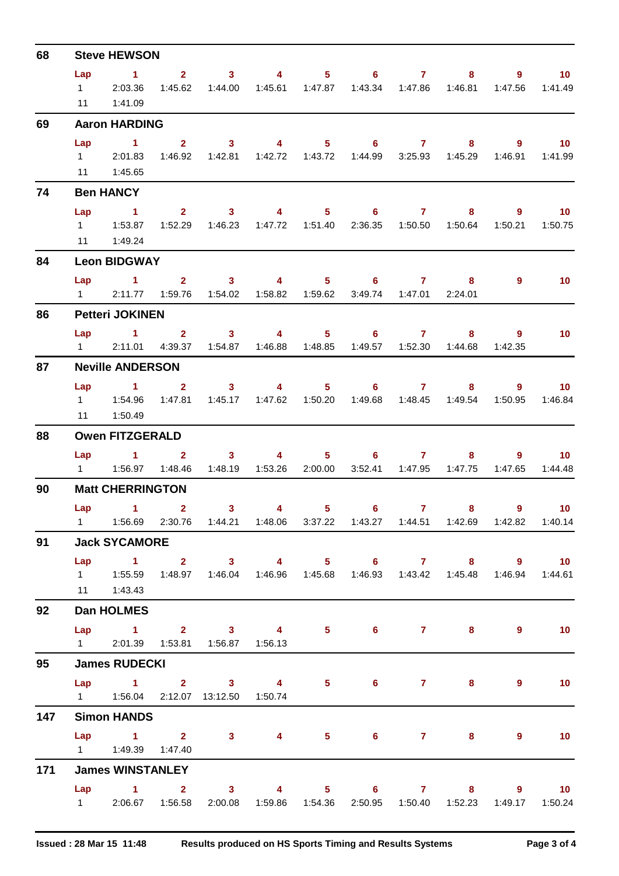| 68  |                             | <b>Steve HEWSON</b>                                                                                                                              |                |                                                                           |          |                |   |                                                                           |                |                         |                                       |
|-----|-----------------------------|--------------------------------------------------------------------------------------------------------------------------------------------------|----------------|---------------------------------------------------------------------------|----------|----------------|---|---------------------------------------------------------------------------|----------------|-------------------------|---------------------------------------|
|     | Lap<br>$1 \quad \Box$<br>11 | $\sim$ 1<br>2:03.36<br>1:41.09                                                                                                                   |                | $2 \qquad \qquad 3 \qquad \qquad 4$<br>1:45.62  1:44.00                   |          |                |   | $5 \t\t 6 \t\t 7$                                                         | 8 <sub>1</sub> | $9^{\circ}$             | $\blacksquare$ 10<br>1:47.56  1:41.49 |
| 69  |                             | <b>Aaron HARDING</b>                                                                                                                             |                |                                                                           |          |                |   |                                                                           |                |                         |                                       |
|     | Lap                         | $\sim$ 1<br>1 2:01.83<br>11   1:45.65                                                                                                            | $\mathbf{2}$   | $\sim$ 3<br>1:46.92  1:42.81  1:42.72  1:43.72  1:44.99  3:25.93  1:45.29 |          |                |   | 4 5 6 7                                                                   | $8 -$          | 9                       | $\overline{10}$<br>1:46.91  1:41.99   |
| 74  |                             | <b>Ben HANCY</b>                                                                                                                                 |                |                                                                           |          |                |   |                                                                           |                |                         |                                       |
|     | Lap<br>11                   | $\sim$ $\sim$ 1<br>1:49.24                                                                                                                       | 1:52.29        | $2 \qquad 3 \qquad 4$                                                     |          |                |   | $5 \t\t 6 \t\t 7$<br>1:46.23  1:47.72  1:51.40  2:36.35  1:50.50  1:50.64 |                | $8 - 1$<br>9<br>1:50.21 | $\sim$ 10<br>1:50.75                  |
| 84  |                             | <b>Leon BIDGWAY</b>                                                                                                                              |                |                                                                           |          |                |   |                                                                           |                |                         |                                       |
|     | $1 \quad \Box$              | $Lap = 1$                                                                                                                                        |                | $2 \qquad 3 \qquad 4$<br>2:11.77  1:59.76  1:54.02  1:58.82  1:59.62      |          |                |   | $5 \t\t 6 \t\t 7$<br>3:49.74 1:47.01 2:24.01                              | 8              | 9                       | 10                                    |
| 86  |                             | <b>Petteri JOKINEN</b>                                                                                                                           |                |                                                                           |          |                |   |                                                                           |                |                         |                                       |
|     | Lap                         | 1 2 3 4 5 6 7<br>1 2:11.01 4:39.37 1:54.87 1:46.88 1:48.85 1:49.57 1:52.30 1:44.68                                                               |                |                                                                           |          |                |   |                                                                           | 8              | 9<br>1:42.35            | 10                                    |
| 87  |                             | <b>Neville ANDERSON</b>                                                                                                                          |                |                                                                           |          |                |   |                                                                           |                |                         |                                       |
|     | Lap<br>11                   | 1 2 3 4 5 6 7<br>1:50.49                                                                                                                         | 1:47.81        |                                                                           |          |                |   | 1:45.17  1:47.62  1:50.20  1:49.68  1:48.45  1:49.54                      |                | $8 - 1$<br>9<br>1:50.95 | $\blacksquare$ 10<br>1:46.84          |
| 88  |                             | <b>Owen FITZGERALD</b>                                                                                                                           |                |                                                                           |          |                |   |                                                                           |                |                         |                                       |
|     | Lap                         | $\mathbf{1}$<br>1   1:56.97   1:48.46   1:48.19   1:53.26   2:00.00                                                                              | 2 <sup>7</sup> |                                                                           | $3 \t 4$ |                |   | $5 \t\t 6 \t\t 7$<br>3:52.41  1:47.95  1:47.75                            | 8              | 9                       | 10 <sup>1</sup><br>1:47.65 1:44.48    |
| 90  |                             | <b>Matt CHERRINGTON</b>                                                                                                                          |                |                                                                           |          |                |   |                                                                           |                |                         |                                       |
|     |                             | Lap $1$ 2<br>1   1:56.69   2:30.76   1:44.21   1:48.06   3:37.22   1:43.27   1:44.51   1:42.69   1:42.82   1:40.14                               |                | 3 <sup>1</sup>                                                            | 4        | 5 <sub>1</sub> | 6 | $\mathbf{7}$                                                              | 8              | 9                       | $\blacksquare$ 10                     |
| 91  |                             | <b>Jack SYCAMORE</b>                                                                                                                             |                |                                                                           |          |                |   |                                                                           |                |                         |                                       |
|     |                             | Lap 1 2 3 4 5 6 7 8 9 10<br>1   1:55.59   1:48.97   1:46.04   1:46.96   1:45.68   1:46.93   1:43.42   1:45.48   1:46.94   1:44.61<br>11  1:43.43 |                |                                                                           |          |                |   |                                                                           |                |                         |                                       |
| 92  |                             | <b>Dan HOLMES</b>                                                                                                                                |                |                                                                           |          |                |   |                                                                           |                |                         |                                       |
|     |                             | Lap 1 2 3 4 5 6 7 8 9<br>1 2:01.39  1:53.81  1:56.87  1:56.13                                                                                    |                |                                                                           |          |                |   |                                                                           |                |                         | $\blacksquare$ 10                     |
| 95  |                             | <b>James RUDECKI</b>                                                                                                                             |                |                                                                           |          |                |   |                                                                           |                |                         |                                       |
|     |                             | Lap 1 2 3 4 5 6 7<br>1   1:56.04   2:12.07   13:12.50   1:50.74                                                                                  |                |                                                                           |          |                |   |                                                                           | $8 -$          | 9                       | 10                                    |
| 147 |                             | <b>Simon HANDS</b>                                                                                                                               |                |                                                                           |          |                |   |                                                                           |                |                         |                                       |
|     |                             | $Lap$ 1 2<br>1   1:49.39   1:47.40                                                                                                               |                | $3 \t 4$                                                                  |          |                |   | $5 \t\t 6 \t\t 7$                                                         | 8              | 9                       | $\blacksquare$ 10                     |
| 171 |                             | <b>James WINSTANLEY</b>                                                                                                                          |                |                                                                           |          |                |   |                                                                           |                |                         |                                       |
|     |                             | Lap 1 2 3 4 5 6 7 8 9 10<br>1 2:06.67 1:56.58                                                                                                    |                |                                                                           |          |                |   | 2:00.08  1:59.86  1:54.36  2:50.95  1:50.40  1:52.23                      |                |                         | 1:49.17  1:50.24                      |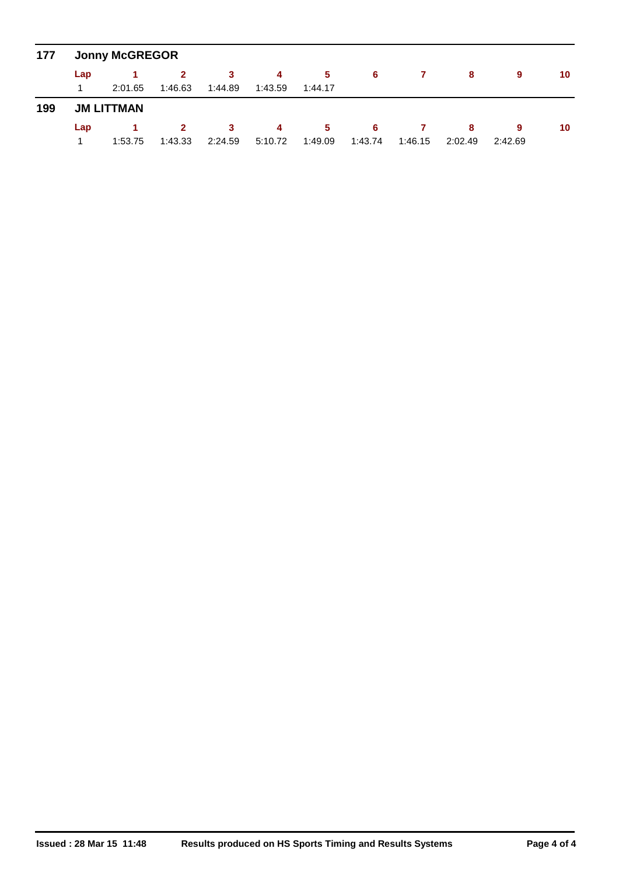| 177 |     | <b>Jonny McGREGOR</b> |              |         |         |         |         |         |         |         |    |
|-----|-----|-----------------------|--------------|---------|---------|---------|---------|---------|---------|---------|----|
|     | Lap |                       | $\mathbf{2}$ | -3      | 4       | 5       | 6       |         | 8       | 9       | 10 |
|     |     | 2:01.65               | 1:46.63      | 1:44.89 | 1:43.59 | 1:44.17 |         |         |         |         |    |
| 199 |     | <b>JM LITTMAN</b>     |              |         |         |         |         |         |         |         |    |
|     | Lap |                       | $\mathbf{2}$ | 3       | -4      | -5      | 6       |         | 8       | 9       | 10 |
|     |     | 1:53.75               | 1:43.33      | 2:24.59 | 5:10.72 | 1:49.09 | 1:43.74 | 1:46.15 | 2:02.49 | 2:42.69 |    |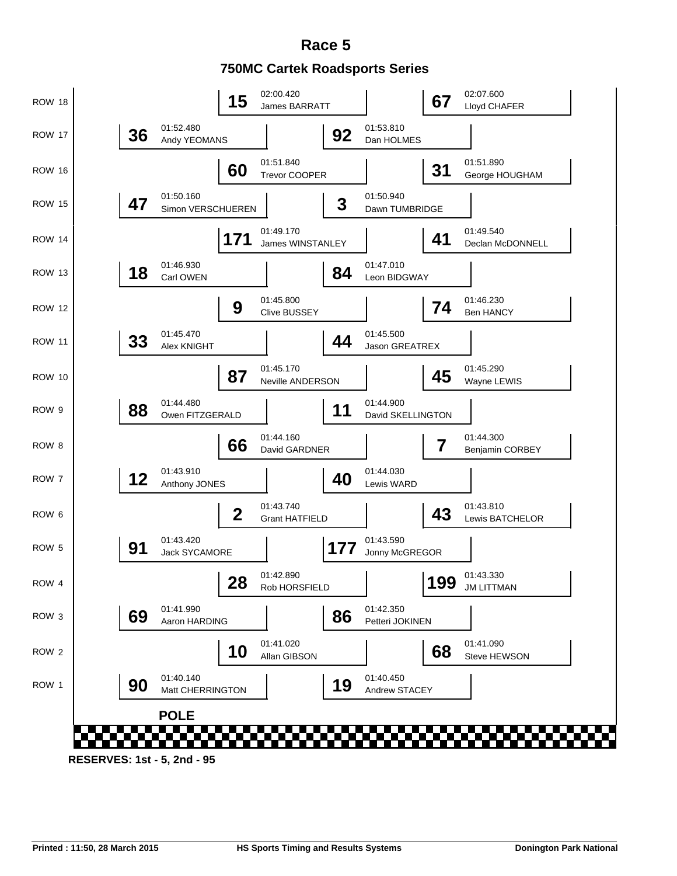## **750MC Cartek Roadsports Series Race 5**

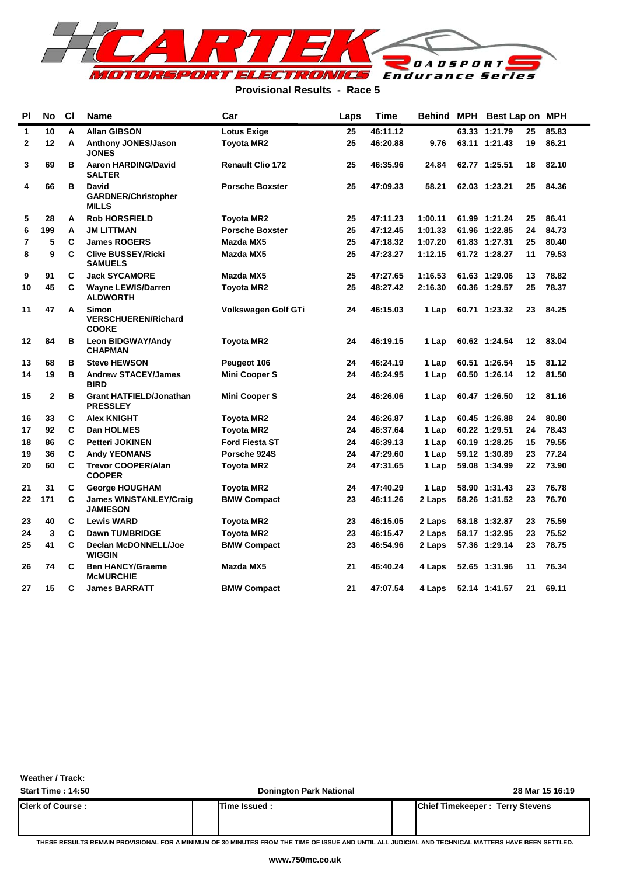

#### **Provisional Results - Race 5**

| PI | No           | C1 | Name                                                       | Car                        | Laps | Time     |         |       | Behind MPH Best Lap on MPH |    |       |
|----|--------------|----|------------------------------------------------------------|----------------------------|------|----------|---------|-------|----------------------------|----|-------|
| 1  | 10           | A  | <b>Allan GIBSON</b>                                        | <b>Lotus Exige</b>         | 25   | 46:11.12 |         | 63.33 | 1:21.79                    | 25 | 85.83 |
| 2  | 12           | A  | <b>Anthony JONES/Jason</b><br><b>JONES</b>                 | <b>Toyota MR2</b>          | 25   | 46:20.88 | 9.76    |       | 63.11 1:21.43              | 19 | 86.21 |
| 3  | 69           | в  | <b>Aaron HARDING/David</b><br><b>SALTER</b>                | <b>Renault Clio 172</b>    | 25   | 46:35.96 | 24.84   |       | 62.77 1:25.51              | 18 | 82.10 |
| 4  | 66           | в  | <b>David</b><br><b>GARDNER/Christopher</b><br><b>MILLS</b> | <b>Porsche Boxster</b>     | 25   | 47:09.33 | 58.21   |       | 62.03 1:23.21              | 25 | 84.36 |
| 5  | 28           | A  | <b>Rob HORSFIELD</b>                                       | <b>Toyota MR2</b>          | 25   | 47:11.23 | 1:00.11 |       | 61.99 1:21.24              | 25 | 86.41 |
| 6  | 199          | Α  | JM LITTMAN                                                 | <b>Porsche Boxster</b>     | 25   | 47:12.45 | 1:01.33 |       | 61.96 1:22.85              | 24 | 84.73 |
| 7  | 5            | C  | <b>James ROGERS</b>                                        | Mazda MX5                  | 25   | 47:18.32 | 1:07.20 |       | 61.83 1:27.31              | 25 | 80.40 |
| 8  | 9            | C  | <b>Clive BUSSEY/Ricki</b><br><b>SAMUELS</b>                | Mazda MX5                  | 25   | 47:23.27 | 1:12.15 |       | 61.72 1:28.27              | 11 | 79.53 |
| 9  | 91           | C  | <b>Jack SYCAMORE</b>                                       | Mazda MX5                  | 25   | 47:27.65 | 1:16.53 |       | 61.63 1:29.06              | 13 | 78.82 |
| 10 | 45           | C  | <b>Wayne LEWIS/Darren</b><br><b>ALDWORTH</b>               | <b>Toyota MR2</b>          | 25   | 48:27.42 | 2:16.30 |       | 60.36 1:29.57              | 25 | 78.37 |
| 11 | 47           | A  | <b>Simon</b><br><b>VERSCHUEREN/Richard</b><br><b>COOKE</b> | <b>Volkswagen Golf GTi</b> | 24   | 46:15.03 | 1 Lap   |       | 60.71 1:23.32              | 23 | 84.25 |
| 12 | 84           | в  | <b>Leon BIDGWAY/Andy</b><br><b>CHAPMAN</b>                 | <b>Toyota MR2</b>          | 24   | 46:19.15 | 1 Lap   |       | 60.62 1:24.54              | 12 | 83.04 |
| 13 | 68           | в  | <b>Steve HEWSON</b>                                        | Peugeot 106                | 24   | 46:24.19 | 1 Lap   |       | 60.51 1:26.54              | 15 | 81.12 |
| 14 | 19           | в  | <b>Andrew STACEY/James</b><br><b>BIRD</b>                  | <b>Mini Cooper S</b>       | 24   | 46:24.95 | 1 Lap   |       | 60.50 1:26.14              | 12 | 81.50 |
| 15 | $\mathbf{2}$ | в  | <b>Grant HATFIELD/Jonathan</b><br><b>PRESSLEY</b>          | <b>Mini Cooper S</b>       | 24   | 46:26.06 | 1 Lap   |       | 60.47 1:26.50              | 12 | 81.16 |
| 16 | 33           | C  | <b>Alex KNIGHT</b>                                         | <b>Toyota MR2</b>          | 24   | 46:26.87 | 1 Lap   |       | 60.45 1:26.88              | 24 | 80.80 |
| 17 | 92           | C  | <b>Dan HOLMES</b>                                          | <b>Toyota MR2</b>          | 24   | 46:37.64 | 1 Lap   |       | 60.22 1:29.51              | 24 | 78.43 |
| 18 | 86           | C  | <b>Petteri JOKINEN</b>                                     | <b>Ford Fiesta ST</b>      | 24   | 46:39.13 | 1 Lap   |       | 60.19 1:28.25              | 15 | 79.55 |
| 19 | 36           | C  | <b>Andy YEOMANS</b>                                        | Porsche 924S               | 24   | 47:29.60 | 1 Lap   |       | 59.12 1:30.89              | 23 | 77.24 |
| 20 | 60           | C  | <b>Trevor COOPER/Alan</b><br><b>COOPER</b>                 | <b>Toyota MR2</b>          | 24   | 47:31.65 | 1 Lap   |       | 59.08 1:34.99              | 22 | 73.90 |
| 21 | 31           | C  | <b>George HOUGHAM</b>                                      | <b>Toyota MR2</b>          | 24   | 47:40.29 | 1 Lap   |       | 58.90 1:31.43              | 23 | 76.78 |
| 22 | 171          | C  | <b>James WINSTANLEY/Craig</b><br><b>JAMIESON</b>           | <b>BMW Compact</b>         | 23   | 46:11.26 | 2 Laps  |       | 58.26 1:31.52              | 23 | 76.70 |
| 23 | 40           | C  | <b>Lewis WARD</b>                                          | <b>Toyota MR2</b>          | 23   | 46:15.05 | 2 Laps  |       | 58.18 1:32.87              | 23 | 75.59 |
| 24 | 3            | C  | <b>Dawn TUMBRIDGE</b>                                      | <b>Toyota MR2</b>          | 23   | 46:15.47 | 2 Laps  |       | 58.17 1:32.95              | 23 | 75.52 |
| 25 | 41           | C  | <b>Declan McDONNELL/Joe</b><br><b>WIGGIN</b>               | <b>BMW Compact</b>         | 23   | 46:54.96 | 2 Laps  |       | 57.36 1:29.14              | 23 | 78.75 |
| 26 | 74           | C  | <b>Ben HANCY/Graeme</b><br><b>MCMURCHIE</b>                | Mazda MX5                  | 21   | 46:40.24 | 4 Laps  |       | 52.65 1:31.96              | 11 | 76.34 |
| 27 | 15           | C  | <b>James BARRATT</b>                                       | <b>BMW Compact</b>         | 21   | 47:07.54 | 4 Laps  |       | 52.14 1:41.57              | 21 | 69.11 |

**Weather / Track:** 

**Start Time : 14:50 Donington Park National 28 Mar 15 16:19 Clerk of Course : Time Issued : Chief Timekeeper : Terry Stevens**

**THESE RESULTS REMAIN PROVISIONAL FOR A MINIMUM OF 30 MINUTES FROM THE TIME OF ISSUE AND UNTIL ALL JUDICIAL AND TECHNICAL MATTERS HAVE BEEN SETTLED.**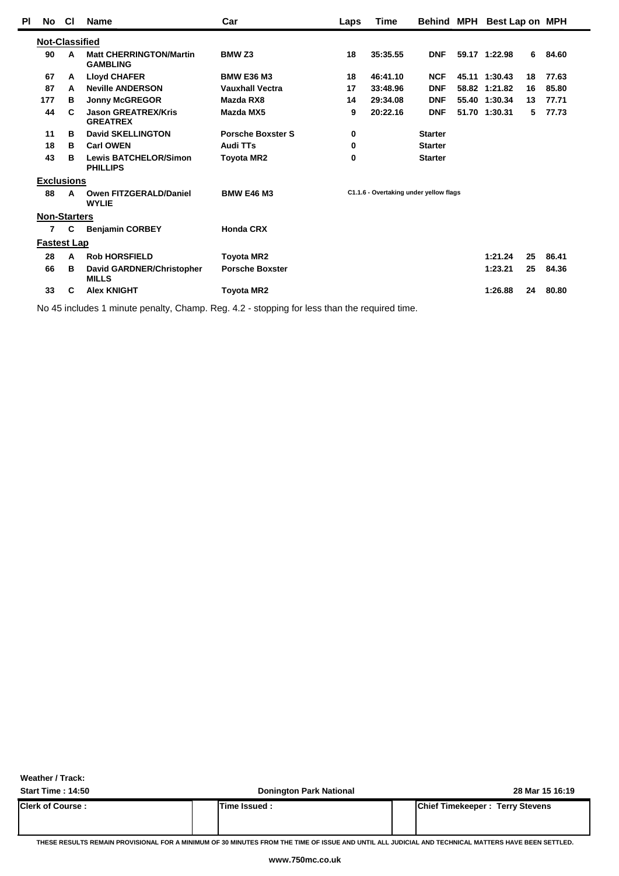| PI | No                    | <b>CI</b> | <b>Name</b>                                       | Car                      | Laps | Time                                   | <b>Behind MPH</b> | Best Lap on MPH |    |       |  |
|----|-----------------------|-----------|---------------------------------------------------|--------------------------|------|----------------------------------------|-------------------|-----------------|----|-------|--|
|    | <b>Not-Classified</b> |           |                                                   |                          |      |                                        |                   |                 |    |       |  |
|    | 90                    | A         | <b>Matt CHERRINGTON/Martin</b><br><b>GAMBLING</b> | <b>BMW Z3</b>            | 18   | 35:35.55                               | <b>DNF</b>        | 59.17 1:22.98   | 6  | 84.60 |  |
|    | 67                    | A         | <b>Lloyd CHAFER</b>                               | <b>BMW E36 M3</b>        | 18   | 46:41.10                               | <b>NCF</b>        | 45.11 1:30.43   | 18 | 77.63 |  |
|    | 87                    | A         | <b>Neville ANDERSON</b>                           | <b>Vauxhall Vectra</b>   | 17   | 33:48.96                               | <b>DNF</b>        | 58.82 1:21.82   | 16 | 85.80 |  |
|    | 177                   | в         | <b>Jonny McGREGOR</b>                             | Mazda RX8                | 14   | 29:34.08                               | <b>DNF</b>        | 55.40 1:30.34   | 13 | 77.71 |  |
|    | 44                    | C         | <b>Jason GREATREX/Kris</b><br><b>GREATREX</b>     | Mazda MX5                | 9    | 20:22.16                               | <b>DNF</b>        | 51.70 1:30.31   | 5  | 77.73 |  |
|    | 11                    | в         | <b>David SKELLINGTON</b>                          | <b>Porsche Boxster S</b> | 0    |                                        | <b>Starter</b>    |                 |    |       |  |
|    | 18                    | в         | <b>Carl OWEN</b>                                  | Audi TTs                 | 0    |                                        | <b>Starter</b>    |                 |    |       |  |
|    | 43                    | в         | <b>Lewis BATCHELOR/Simon</b><br><b>PHILLIPS</b>   | <b>Toyota MR2</b>        | 0    |                                        | <b>Starter</b>    |                 |    |       |  |
|    | <b>Exclusions</b>     |           |                                                   |                          |      |                                        |                   |                 |    |       |  |
|    | 88                    | A         | <b>Owen FITZGERALD/Daniel</b><br><b>WYLIE</b>     | <b>BMW E46 M3</b>        |      | C1.1.6 - Overtaking under yellow flags |                   |                 |    |       |  |
|    | <b>Non-Starters</b>   |           |                                                   |                          |      |                                        |                   |                 |    |       |  |
|    | $\overline{7}$        | C         | <b>Benjamin CORBEY</b>                            | <b>Honda CRX</b>         |      |                                        |                   |                 |    |       |  |
|    | <b>Fastest Lap</b>    |           |                                                   |                          |      |                                        |                   |                 |    |       |  |
|    | 28                    | A         | <b>Rob HORSFIELD</b>                              | <b>Toyota MR2</b>        |      |                                        |                   | 1:21.24         | 25 | 86.41 |  |
|    | 66                    | в         | David GARDNER/Christopher<br><b>MILLS</b>         | <b>Porsche Boxster</b>   |      |                                        |                   | 1:23.21         | 25 | 84.36 |  |
|    | 33                    | C         | <b>Alex KNIGHT</b>                                | <b>Toyota MR2</b>        |      |                                        |                   | 1:26.88         | 24 | 80.80 |  |
|    |                       |           |                                                   |                          |      |                                        |                   |                 |    |       |  |

No 45 includes 1 minute penalty, Champ. Reg. 4.2 - stopping for less than the required time.

**Weather / Track:** 

**Start Time : 14:50 Donington Park National 28 Mar 15 16:19 Clerk of Course : Time Issued : Chief Timekeeper : Terry Stevens**

**THESE RESULTS REMAIN PROVISIONAL FOR A MINIMUM OF 30 MINUTES FROM THE TIME OF ISSUE AND UNTIL ALL JUDICIAL AND TECHNICAL MATTERS HAVE BEEN SETTLED.**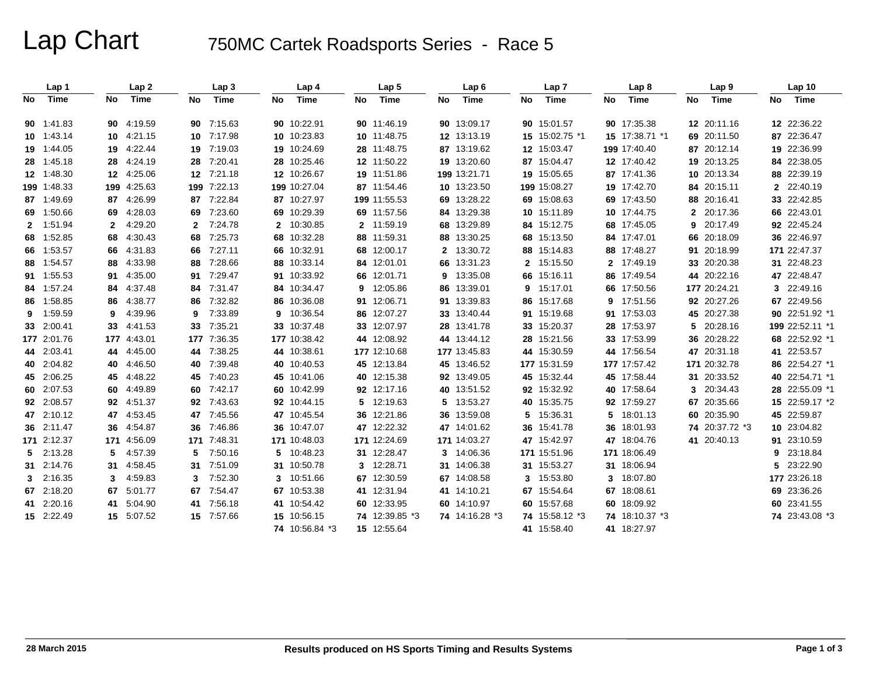# Lap Chart 750MC Cartek Roadsports Series - Race 5

|     | Lap 1       |              | Lap <sub>2</sub> |              | Lap <sub>3</sub> |              | Lap 4          |    | Lap <sub>5</sub> |    | Lap6           |    | Lap <sub>7</sub> |              | Lap 8          |              | Lap 9          |    | Lap <sub>10</sub> |
|-----|-------------|--------------|------------------|--------------|------------------|--------------|----------------|----|------------------|----|----------------|----|------------------|--------------|----------------|--------------|----------------|----|-------------------|
| No. | Time        | No           | Time             | <b>No</b>    | Time             | No.          | Time           | No | Time             | No | Time           | No | Time             | No           | Time           | No           | Time           | No | Time              |
|     | 90 1:41.83  | 90           | 4:19.59          | 90           | 7:15.63          |              | 90 10:22.91    |    | 90 11:46.19      |    | 90 13:09.17    |    | 90 15:01.57      |              | 90 17:35.38    |              | 12 20:11.16    |    | 12 22:36.22       |
|     | 10 1:43.14  | 10           | 4:21.15          |              | 10 7:17.98       |              | 10 10:23.83    |    | 10 11:48.75      |    | 12 13:13.19    |    | 15 15:02.75 *1   |              | 15 17:38.71 *1 |              | 69 20:11.50    |    | 87 22:36.47       |
|     | 19 1:44.05  |              | 19 4:22.44       |              | 19 7:19.03       |              | 19 10:24.69    |    | 28 11:48.75      |    | 87 13:19.62    |    | 12 15:03.47      |              | 199 17:40.40   |              | 87 20:12.14    |    | 19 22:36.99       |
|     | 28 1:45.18  | 28           | 4:24.19          | 28           | 7:20.41          |              | 28 10:25.46    |    | 12 11:50.22      |    | 19 13:20.60    |    | 87 15:04.47      |              | 12 17:40.42    |              | 19 20:13.25    |    | 84 22:38.05       |
|     | 12 1:48.30  |              | 12 4:25.06       |              | 12 7:21.18       |              | 12 10:26.67    |    | 19 11:51.86      |    | 199 13:21.71   |    | 19 15:05.65      |              | 87 17:41.36    |              | 10 20:13.34    |    | 88 22:39.19       |
|     | 199 1:48.33 |              | 199 4:25.63      |              | 199 7:22.13      |              | 199 10:27.04   |    | 87 11:54.46      |    | 10 13:23.50    |    | 199 15:08.27     |              | 19 17:42.70    |              | 84 20:15.11    |    | 2 22:40.19        |
|     | 87 1:49.69  |              | 87 4:26.99       | 87           | 7:22.84          | 87           | 10:27.97       |    | 199 11:55.53     | 69 | 13:28.22       |    | 69 15:08.63      |              | 69 17:43.50    |              | 88 20:16.41    |    | 33 22:42.85       |
|     | 69 1:50.66  | 69           | 4:28.03          | 69           | 7:23.60          | 69           | 10:29.39       |    | 69 11:57.56      |    | 84 13:29.38    |    | 10 15:11.89      |              | 10 17:44.75    | $\mathbf{2}$ | 20:17.36       |    | 66 22:43.01       |
|     | 2 1:51.94   | $\mathbf{2}$ | 4:29.20          | $\mathbf{2}$ | 7:24.78          | $\mathbf{2}$ | 10:30.85       |    | 2 11:59.19       |    | 68 13:29.89    |    | 84 15:12.75      |              | 68 17:45.05    | 9            | 20:17.49       |    | 92 22:45.24       |
|     | 68 1:52.85  |              | 68 4:30.43       | 68           | 7:25.73          | 68           | 10:32.28       |    | 88 11:59.31      |    | 88 13:30.25    |    | 68 15:13.50      |              | 84 17:47.01    |              | 66 20:18.09    |    | 36 22:46.97       |
|     | 66 1:53.57  | 66           | 4:31.83          | 66           | 7:27.11          | 66           | 10:32.91       |    | 68 12:00.17      |    | 2 13:30.72     |    | 88 15:14.83      | 88           | 17:48.27       |              | 91 20:18.99    |    | 171 22:47.37      |
|     | 88 1:54.57  | 88           | 4:33.98          | 88           | 7:28.66          | 88           | 10:33.14       |    | 84 12:01.01      | 66 | 13:31.23       |    | 2 15:15.50       | $\mathbf{2}$ | 17:49.19       |              | 33 20:20.38    |    | 31 22:48.23       |
|     | 91 1:55.53  | 91           | 4:35.00          | 91           | 7:29.47          | 91           | 10:33.92       |    | 66 12:01.71      |    | 9 13:35.08     |    | 66 15:16.11      |              | 86 17:49.54    |              | 44 20:22.16    |    | 47 22:48.47       |
| 84  | 1:57.24     | 84           | 4:37.48          | 84           | 7:31.47          | 84           | 10:34.47       |    | 9 12:05.86       |    | 86 13:39.01    |    | 9 15:17.01       |              | 66 17:50.56    |              | 177 20:24.21   |    | 3 22:49.16        |
|     | 86 1:58.85  |              | 86 4:38.77       | 86           | 7:32.82          | 86           | 10:36.08       |    | 91 12:06.71      |    | 91 13:39.83    |    | 86 15:17.68      | 9            | 17:51.56       |              | 92 20:27.26    |    | 67 22:49.56       |
| 9   | 1:59.59     | 9            | 4:39.96          | 9            | 7:33.89          | 9            | 10:36.54       |    | 86 12:07.27      |    | 33 13:40.44    |    | 91 15:19.68      |              | 91 17:53.03    |              | 45 20:27.38    |    | 90 22:51.92 *1    |
|     | 33 2:00.41  | 33           | 4:41.53          | 33           | 7:35.21          | 33           | 10:37.48       |    | 33 12:07.97      |    | 28 13:41.78    |    | 33 15:20.37      |              | 28 17:53.97    | 5            | 20:28.16       |    | 199 22:52.11 *1   |
|     | 177 2:01.76 |              | 177 4:43.01      | 177          | 7:36.35          |              | 177 10:38.42   |    | 44 12:08.92      |    | 44 13:44.12    |    | 28 15:21.56      |              | 33 17:53.99    |              | 36 20:28.22    |    | 68 22:52.92 *1    |
|     | 44 2:03.41  |              | 44 4:45.00       | 44           | 7:38.25          | 44           | 10:38.61       |    | 177 12:10.68     |    | 177 13:45.83   |    | 44 15:30.59      |              | 44 17:56.54    |              | 47 20:31.18    |    | 41 22:53.57       |
|     | 40 2:04.82  |              | 40 4:46.50       | 40           | 7:39.48          | 40           | 10:40.53       |    | 45 12:13.84      |    | 45 13:46.52    |    | 177 15:31.59     |              | 177 17:57.42   |              | 171 20:32.78   |    | 86 22:54.27 *1    |
|     | 45 2:06.25  |              | 45 4:48.22       | 45           | 7:40.23          | 45           | 10:41.06       |    | 40 12:15.38      |    | 92 13:49.05    |    | 45 15:32.44      |              | 45 17:58.44    |              | 31 20:33.52    |    | 40 22:54.71 *1    |
|     | 60 2:07.53  | 60           | 4:49.89          | 60           | 7:42.17          | 60           | 10:42.99       |    | 92 12:17.16      |    | 40 13:51.52    |    | 92 15:32.92      |              | 40 17:58.64    | 3            | 20:34.43       |    | 28 22:55.09 *1    |
|     | 92 2:08.57  |              | 92 4:51.37       | 92           | 7:43.63          |              | 92 10:44.15    |    | 5 12:19.63       |    | 5 13:53.27     |    | 40 15:35.75      |              | 92 17:59.27    |              | 67 20:35.66    |    | 15 22:59.17 *2    |
|     | 47 2:10.12  |              | 47 4:53.45       |              | 47 7:45.56       |              | 47 10:45.54    |    | 36 12:21.86      |    | 36 13:59.08    |    | 5 15:36.31       | 5            | 18:01.13       |              | 60 20:35.90    |    | 45 22:59.87       |
|     | 36 2:11.47  |              | 36 4:54.87       | 36           | 7:46.86          |              | 36 10:47.07    |    | 47 12:22.32      |    | 47 14:01.62    |    | 36 15:41.78      |              | 36 18:01.93    |              | 74 20:37.72 *3 |    | 10 23:04.82       |
|     | 171 2:12.37 |              | 171 4:56.09      |              | 171 7:48.31      |              | 171 10:48.03   |    | 171 12:24.69     |    | 171 14:03.27   |    | 47 15:42.97      |              | 47 18:04.76    |              | 41 20:40.13    |    | 91 23:10.59       |
|     | 5 2:13.28   | 5.           | 4:57.39          | 5            | 7:50.16          | 5            | 10:48.23       |    | 31 12:28.47      |    | 3 14:06.36     |    | 171 15:51.96     |              | 171 18:06.49   |              |                | 9  | 23:18.84          |
|     | 31 2:14.76  | 31.          | 4:58.45          | 31           | 7:51.09          | 31           | 10:50.78       |    | 3 12:28.71       |    | 31 14:06.38    |    | 31 15:53.27      |              | 31 18:06.94    |              |                | 5. | 23:22.90          |
|     | 3 2:16.35   | 3            | 4:59.83          | 3            | 7:52.30          | 3            | 10:51.66       |    | 67 12:30.59      |    | 67 14:08.58    |    | 3 15:53.80       | 3            | 18:07.80       |              |                |    | 177 23:26.18      |
|     | 67 2:18.20  |              | 67 5:01.77       | 67           | 7:54.47          | 67           | 10:53.38       |    | 41 12:31.94      |    | 41 14:10.21    |    | 67 15:54.64      | 67           | 18:08.61       |              |                |    | 69 23:36.26       |
|     | 41 2:20.16  |              | 41 5:04.90       | 41           | 7:56.18          | 41           | 10:54.42       |    | 60 12:33.95      |    | 60 14:10.97    |    | 60 15:57.68      |              | 60 18:09.92    |              |                |    | 60 23:41.55       |
|     | 15 2:22.49  |              | 15 5:07.52       | 15           | 7:57.66          | 15           | 10:56.15       |    | 74 12:39.85 *3   |    | 74 14:16.28 *3 |    | 74 15:58.12 *3   |              | 74 18:10.37 *3 |              |                |    | 74 23:43.08 *3    |
|     |             |              |                  |              |                  |              | 74 10:56.84 *3 |    | 15 12:55.64      |    |                |    | 41 15:58.40      |              | 41 18:27.97    |              |                |    |                   |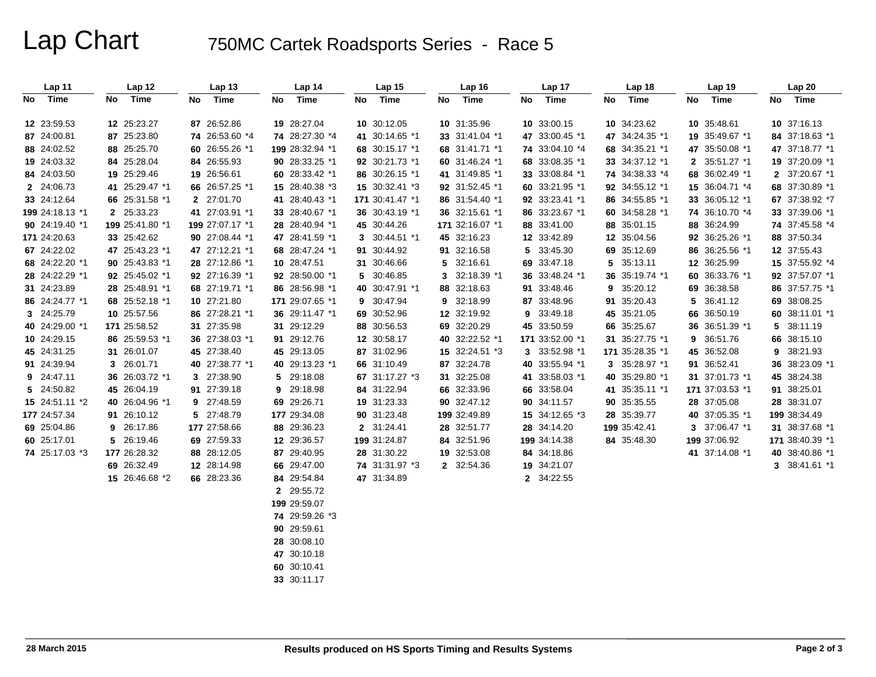# Lap Chart 750MC Cartek Roadsports Series - Race 5

| Lap 11          |    | Lap 12          |     | Lap <sub>13</sub> |      | Lap 14          | Lap 15          | Lap 16          |    | Lap 17          | Lap 18          |    | Lap 19          | Lap 20          |
|-----------------|----|-----------------|-----|-------------------|------|-----------------|-----------------|-----------------|----|-----------------|-----------------|----|-----------------|-----------------|
| No Time         | No | Time            | No. | Time              | No l | Time            | No Time         | No Time         | No | Time            | No Time         | No | Time            | No Time         |
| 12 23:59.53     |    | 12 25:23.27     |     | 87 26:52.86       |      | 19 28:27.04     | 10 30:12.05     | 10 31:35.96     |    | 10 33:00.15     | 10 34:23.62     |    | 10 35:48.61     | 10 37:16.13     |
| 87 24:00.81     |    | 87 25:23.80     |     | 74 26:53.60 *4    |      | 74 28:27.30 *4  | 41 30:14.65 *1  | 33 31:41.04 *1  |    | 47 33:00.45 *1  | 47 34:24.35 *1  |    | 19 35:49.67 *1  | 84 37:18.63 *1  |
| 88 24:02.52     |    | 88 25:25.70     |     | 60 26:55.26 *1    |      | 199 28:32.94 *1 | 68 30:15.17 *1  | 68 31:41.71 *1  |    | 74 33:04.10 *4  | 68 34:35.21 *1  |    | 47 35:50.08 *1  | 47 37:18.77 *1  |
| 19 24:03.32     |    | 84 25:28.04     |     | 84 26:55.93       |      | 90 28:33.25 *1  | 92 30:21.73 *1  | 60 31:46.24 *1  |    | 68 33:08.35 *1  | 33 34:37.12 *1  |    | 2 35:51.27 *1   | 19 37:20.09 *1  |
| 84 24:03.50     |    | 19 25:29.46     |     | 19 26:56.61       |      | 60 28:33.42 *1  | 86 30:26.15 *1  | 41 31:49.85 *1  |    | 33 33:08.84 *1  | 74 34:38.33 *4  |    | 68 36:02.49 *1  | 2 37:20.67 *1   |
| 2 24:06.73      |    | 41 25:29.47 *1  |     | 66 26:57.25 *1    |      | 15 28:40.38 *3  | 15 30:32.41 *3  | 92 31:52.45 *1  |    | 60 33:21.95 *1  | 92 34:55.12 *1  |    | 15 36:04.71 *4  | 68 37:30.89 *1  |
| 33 24:12.64     |    | 66 25:31.58 *1  |     | 2 27:01.70        |      | 41 28:40.43 *1  | 171 30:41.47 *1 | 86 31:54.40 *1  |    | 92 33:23.41 *1  | 86 34:55.85 *1  |    | 33 36:05.12 *1  | 67 37:38.92 *7  |
| 199 24:18.13 *1 |    | 2 25:33.23      |     | 41 27:03.91 *1    |      | 33 28:40.67 *1  | 36 30:43.19 *1  | 36 32:15.61 *1  |    | 86 33:23.67 *1  | 60 34:58.28 *1  |    | 74 36:10.70 *4  | 33 37:39.06 *1  |
| 90 24:19.40 *1  |    | 199 25:41.80 *1 |     | 199 27:07.17 *1   |      | 28 28:40.94 *1  | 45 30:44.26     | 171 32:16.07 *1 |    | 88 33:41.00     | 88 35:01.15     |    | 88 36:24.99     | 74 37:45.58 *4  |
| 171 24:20.63    |    | 33 25:42.62     |     | 90 27:08.44 *1    |      | 47 28:41.59 *1  | 3 30:44.51 *1   | 45 32:16.23     |    | 12 33:42.89     | 12 35:04.56     |    | 92 36:25.26 *1  | 88 37:50.34     |
| 67 24:22.02     |    | 47 25:43.23 *1  |     | 47 27:12.21 *1    |      | 68 28:47.24 *1  | 91 30:44.92     | 91 32:16.58     |    | 5 33:45.30      | 69 35:12.69     |    | 86 36:25.56 *1  | 12 37:55.43     |
| 68 24:22.20 *1  |    | 90 25:43.83 *1  |     | 28 27:12.86 *1    |      | 10 28:47.51     | 31 30:46.66     | 5 32:16.61      |    | 69 33:47.18     | 5 35:13.11      |    | 12 36:25.99     | 15 37:55.92 *4  |
| 28 24:22.29 *1  |    | 92 25:45.02 *1  |     | 92 27:16.39 *1    |      | 92 28:50.00 *1  | 5 30:46.85      | 3 32:18.39 *1   |    | 36 33:48.24 *1  | 36 35:19.74 *1  |    | 60 36:33.76 *1  | 92 37:57.07 *1  |
| 31 24:23.89     |    | 28 25:48.91 *1  |     | 68 27:19.71 *1    |      | 86 28:56.98 *1  | 40 30:47.91 *1  | 88 32:18.63     |    | 91 33:48.46     | 9 35:20.12      | 69 | 36:38.58        | 86 37:57.75 *1  |
| 86 24:24.77 *1  |    | 68 25:52.18 *1  |     | 10 27:21.80       |      | 171 29:07.65 *1 | 9 30:47.94      | 9 32:18.99      |    | 87 33:48.96     | 91 35:20.43     | 5  | 36:41.12        | 69 38:08.25     |
| 3 24:25.79      |    | 10 25:57.56     |     | 86 27:28.21 *1    |      | 36 29:11.47 *1  | 69 30:52.96     | 12 32:19.92     |    | 9 33:49.18      | 45 35:21.05     | 66 | 36:50.19        | 60 38:11.01 *1  |
| 40 24:29.00 *1  |    | 171 25:58.52    |     | 31 27:35.98       |      | 31 29:12.29     | 88 30:56.53     | 69 32:20.29     |    | 45 33:50.59     | 66 35:25.67     |    | 36 36:51.39 *1  | 5 38:11.19      |
| 10 24:29.15     |    | 86 25:59.53 *1  |     | 36 27:38.03 *1    |      | 91 29:12.76     | 12 30:58.17     | 40 32:22.52 *1  |    | 171 33:52.00 *1 | 31 35:27.75 *1  | 9  | 36:51.76        | 66 38:15.10     |
| 45 24:31.25     |    | 31 26:01.07     |     | 45 27:38.40       |      | 45 29:13.05     | 87 31:02.96     | 15 32:24.51 *3  |    | 3 33:52.98 *1   | 171 35:28.35 *1 |    | 45 36:52.08     | 9 38:21.93      |
| 91 24:39.94     |    | 3 26:01.71      |     | 40 27:38.77 *1    |      | 40 29:13.23 *1  | 66 31:10.49     | 87 32:24.78     |    | 40 33:55.94 *1  | 3 35:28.97 *1   |    | 91 36:52.41     | 36 38:23.09 *1  |
| 9 24:47.11      |    | 36 26:03.72 *1  |     | 3 27:38.90        |      | 5 29:18.08      | 67 31:17.27 *3  | 31 32:25.08     |    | 41 33:58.03 *1  | 40 35:29.80 *1  |    | 31 37:01.73 *1  | 45 38:24.38     |
| 5 24:50.82      |    | 45 26:04.19     |     | 91 27:39.18       |      | 9 29:18.98      | 84 31:22.94     | 66 32:33.96     |    | 66 33:58.04     | 41 35:35.11 *1  |    | 171 37:03.53 *1 | 91 38:25.01     |
| 15 24:51.11 *2  |    | 40 26:04.96 *1  |     | 9 27:48.59        |      | 69 29:26.71     | 19 31:23.33     | 90 32:47.12     |    | 90 34:11.57     | 90 35:35.55     |    | 28 37:05.08     | 28 38:31.07     |
| 177 24:57.34    |    | 91 26:10.12     |     | 5 27:48.79        |      | 177 29:34.08    | 90 31:23.48     | 199 32:49.89    |    | 15 34:12.65 *3  | 28 35:39.77     |    | 40 37:05.35 *1  | 199 38:34.49    |
| 69 25:04.86     |    | 9 26:17.86      |     | 177 27:58.66      |      | 88 29:36.23     | 2 31:24.41      | 28 32:51.77     |    | 28 34:14.20     | 199 35:42.41    |    | 3 37:06.47 *1   | 31 38:37.68 *1  |
| 60 25:17.01     |    | 5 26:19.46      |     | 69 27:59.33       |      | 12 29:36.57     | 199 31:24.87    | 84 32:51.96     |    | 199 34:14.38    | 84 35:48.30     |    | 199 37:06.92    | 171 38:40.39 *1 |
| 74 25:17.03 *3  |    | 177 26:28.32    |     | 88 28:12.05       |      | 87 29:40.95     | 28 31:30.22     | 19 32:53.08     |    | 84 34:18.86     |                 |    | 41 37:14.08 *1  | 40 38:40.86 *1  |
|                 |    | 69 26:32.49     |     | 12 28:14.98       |      | 66 29:47.00     | 74 31:31.97 *3  | 2 32:54.36      |    | 19 34:21.07     |                 |    |                 | 3 38:41.61 *1   |
|                 |    | 15 26:46.68 *2  |     | 66 28:23.36       |      | 84 29:54.84     | 47 31:34.89     |                 |    | 2 34:22.55      |                 |    |                 |                 |
|                 |    |                 |     |                   |      | 2 29:55.72      |                 |                 |    |                 |                 |    |                 |                 |
|                 |    |                 |     |                   |      | 199 29:59.07    |                 |                 |    |                 |                 |    |                 |                 |
|                 |    |                 |     |                   |      | 74 29:59.26 *3  |                 |                 |    |                 |                 |    |                 |                 |
|                 |    |                 |     |                   |      | 90 29:59.61     |                 |                 |    |                 |                 |    |                 |                 |
|                 |    |                 |     |                   |      | 28 30:08.10     |                 |                 |    |                 |                 |    |                 |                 |
|                 |    |                 |     |                   |      | 47 30:10.18     |                 |                 |    |                 |                 |    |                 |                 |
|                 |    |                 |     |                   |      | 60 30:10.41     |                 |                 |    |                 |                 |    |                 |                 |

**33** 30:11.17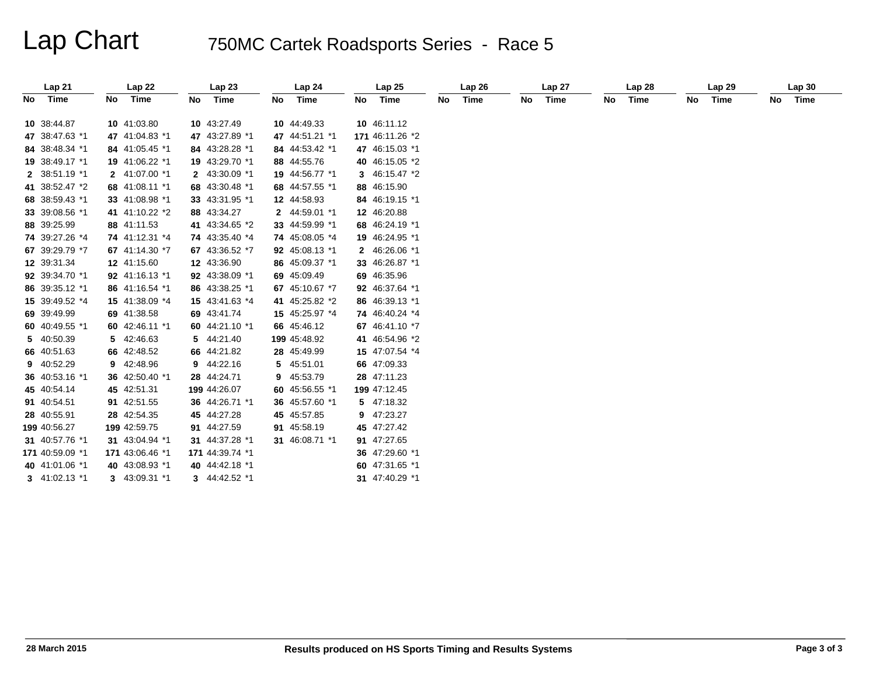# Lap Chart 750MC Cartek Roadsports Series - Race 5

|    | Lap21             |    | Lap 22          |    | Lap23           |    | Lap 24         |    | Lap25           |    | Lap26 |    | Lap 27 |    | Lap 28 |    | Lap 29 |    | Lap30 |
|----|-------------------|----|-----------------|----|-----------------|----|----------------|----|-----------------|----|-------|----|--------|----|--------|----|--------|----|-------|
| No | Time              | No | Time            | No | Time            | No | Time           | No | Time            | No | Time  | No | Time   | No | Time   | No | Time   | No | Time  |
|    | 10 38:44.87       |    | 10 41:03.80     |    | 10 43:27.49     |    | 10 44:49.33    |    | 10 46:11.12     |    |       |    |        |    |        |    |        |    |       |
|    | 47 38:47.63 *1    |    | 47 41:04.83 *1  |    | 47 43:27.89 *1  |    | 47 44:51.21 *1 |    | 171 46:11.26 *2 |    |       |    |        |    |        |    |        |    |       |
|    | 84 38:48.34 *1    |    | 84 41:05.45 *1  |    | 84 43:28.28 *1  |    | 84 44:53.42 *1 |    | 47 46:15.03 *1  |    |       |    |        |    |        |    |        |    |       |
|    | 19 38:49.17 *1    |    | 19 41:06.22 *1  |    | 19 43:29.70 *1  |    | 88 44:55.76    |    | 40 46:15.05 *2  |    |       |    |        |    |        |    |        |    |       |
|    | 2 38:51.19 *1     |    | 2 41:07.00 *1   |    | 2 43:30.09 *1   |    | 19 44:56.77 *1 |    | 3 46:15.47 *2   |    |       |    |        |    |        |    |        |    |       |
|    | 41 38:52.47 *2    |    | 68 41:08.11 *1  |    | 68 43:30.48 *1  |    | 68 44:57.55 *1 |    | 88 46:15.90     |    |       |    |        |    |        |    |        |    |       |
|    | 68 38:59.43 *1    |    | 33 41:08.98 *1  |    | 33 43:31.95 *1  |    | 12 44:58.93    |    | 84 46:19.15 *1  |    |       |    |        |    |        |    |        |    |       |
|    | 33 39:08.56 *1    |    | 41 41:10.22 *2  |    | 88 43:34.27     |    | 2 44:59.01 *1  |    | 12 46:20.88     |    |       |    |        |    |        |    |        |    |       |
|    | 88 39:25.99       |    | 88 41:11.53     |    | 41 43:34.65 *2  |    | 33 44:59.99 *1 |    | 68 46:24.19 *1  |    |       |    |        |    |        |    |        |    |       |
|    | 74 39:27.26 *4    |    | 74 41:12.31 *4  |    | 74 43:35.40 *4  |    | 74 45:08.05 *4 |    | 19 46:24.95 *1  |    |       |    |        |    |        |    |        |    |       |
|    | 67 39:29.79 *7    |    | 67 41:14.30 *7  |    | 67 43:36.52 *7  |    | 92 45:08.13 *1 |    | 2 46:26.06 *1   |    |       |    |        |    |        |    |        |    |       |
|    | 12 39:31.34       |    | 12 41:15.60     |    | 12 43:36.90     |    | 86 45:09.37 *1 |    | 33 46:26.87 *1  |    |       |    |        |    |        |    |        |    |       |
|    | 92 39:34.70 *1    |    | 92 41:16.13 *1  |    | 92 43:38.09 *1  |    | 69 45:09.49    |    | 69 46:35.96     |    |       |    |        |    |        |    |        |    |       |
|    | 86 39:35.12 *1    |    | 86 41:16.54 *1  |    | 86 43:38.25 *1  |    | 67 45:10.67 *7 |    | 92 46:37.64 *1  |    |       |    |        |    |        |    |        |    |       |
|    | 15 39:49.52 *4    |    | 15 41:38.09 *4  |    | 15 43:41.63 *4  |    | 41 45:25.82 *2 |    | 86 46:39.13 *1  |    |       |    |        |    |        |    |        |    |       |
|    | 69 39:49.99       |    | 69 41:38.58     |    | 69 43:41.74     |    | 15 45:25.97 *4 |    | 74 46:40.24 *4  |    |       |    |        |    |        |    |        |    |       |
|    | 60 40:49.55 *1    |    | 60 42:46.11 *1  |    | 60 44:21.10 *1  |    | 66 45:46.12    |    | 67 46:41.10 *7  |    |       |    |        |    |        |    |        |    |       |
|    | 5 40:50.39        |    | 5 42:46.63      |    | 5 44:21.40      |    | 199 45:48.92   |    | 41 46:54.96 *2  |    |       |    |        |    |        |    |        |    |       |
|    | 66 40:51.63       |    | 66 42:48.52     |    | 66 44:21.82     |    | 28 45:49.99    |    | 15 47:07.54 *4  |    |       |    |        |    |        |    |        |    |       |
|    | 9 40:52.29        |    | 9 42:48.96      |    | 9 44:22.16      |    | 5 45:51.01     |    | 66 47:09.33     |    |       |    |        |    |        |    |        |    |       |
|    | 36 40:53.16 *1    |    | 36 42:50.40 *1  |    | 28 44:24.71     | 9  | 45:53.79       |    | 28 47:11.23     |    |       |    |        |    |        |    |        |    |       |
|    | 45 40:54.14       |    | 45 42:51.31     |    | 199 44:26.07    |    | 60 45:56.55 *1 |    | 199 47:12.45    |    |       |    |        |    |        |    |        |    |       |
|    | 91 40:54.51       |    | 91 42:51.55     |    | 36 44:26.71 *1  |    | 36 45:57.60 *1 |    | 5 47:18.32      |    |       |    |        |    |        |    |        |    |       |
|    | 28 40:55.91       |    | 28 42:54.35     |    | 45 44:27.28     |    | 45 45:57.85    |    | 9 47:23.27      |    |       |    |        |    |        |    |        |    |       |
|    | 199 40:56.27      |    | 199 42:59.75    |    | 91 44:27.59     |    | 91 45:58.19    |    | 45 47:27.42     |    |       |    |        |    |        |    |        |    |       |
|    | 31 40:57.76 *1    |    | 31 43:04.94 *1  |    | 31 44:37.28 *1  |    | 31 46:08.71 *1 |    | 91 47:27.65     |    |       |    |        |    |        |    |        |    |       |
|    | 171 40:59.09 *1   |    | 171 43:06.46 *1 |    | 171 44:39.74 *1 |    |                |    | 36 47:29.60 *1  |    |       |    |        |    |        |    |        |    |       |
|    | 40 41:01.06 *1    |    | 40 43:08.93 *1  |    | 40 44:42.18 *1  |    |                |    | 60 47:31.65 *1  |    |       |    |        |    |        |    |        |    |       |
|    | $3$ 41:02.13 $*1$ |    | 3 43:09.31 *1   |    | 3 44:42.52 *1   |    |                |    | 31 47:40.29 *1  |    |       |    |        |    |        |    |        |    |       |
|    |                   |    |                 |    |                 |    |                |    |                 |    |       |    |        |    |        |    |        |    |       |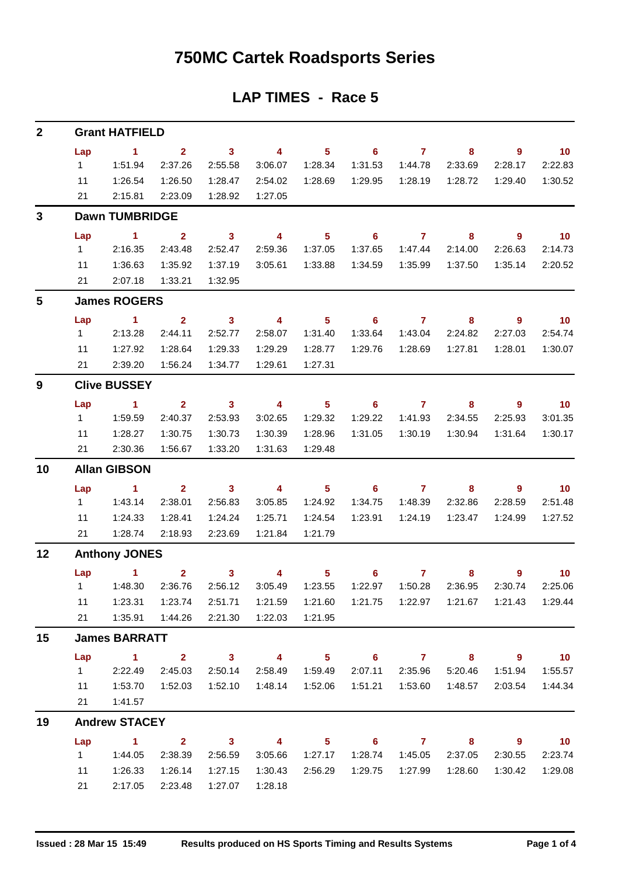## **750MC Cartek Roadsports Series**

## **LAP TIMES - Race 5**

| $\mathbf{2}$ | <b>Grant HATFIELD</b> |                      |                         |                            |                          |                |                            |                |                                             |                            |                 |  |  |  |
|--------------|-----------------------|----------------------|-------------------------|----------------------------|--------------------------|----------------|----------------------------|----------------|---------------------------------------------|----------------------------|-----------------|--|--|--|
|              | Lap                   | $\sim$ 1             | $\overline{2}$          | $\overline{\phantom{a}}$ 3 | $\overline{\mathbf{4}}$  | 5 <sub>1</sub> | $\overline{\phantom{0}}$ 6 | $\overline{7}$ | 8                                           | $\overline{9}$             | $\overline{10}$ |  |  |  |
|              | $1 \quad$             | 1:51.94              | 2:37.26                 | 2:55.58                    | 3:06.07                  | 1:28.34        | 1:31.53                    | 1:44.78        | 2:33.69                                     | 2:28.17                    | 2:22.83         |  |  |  |
|              | 11                    | 1:26.54              | 1:26.50                 | 1:28.47                    | 2:54.02                  | 1:28.69        | 1:29.95                    | 1:28.19        | 1:28.72                                     | 1:29.40                    | 1:30.52         |  |  |  |
|              | 21                    | 2:15.81              | 2:23.09                 | 1:28.92                    | 1:27.05                  |                |                            |                |                                             |                            |                 |  |  |  |
| $\mathbf{3}$ | <b>Dawn TUMBRIDGE</b> |                      |                         |                            |                          |                |                            |                |                                             |                            |                 |  |  |  |
|              | Lap                   | $\sim$ 1.            | $\overline{\mathbf{2}}$ | $\overline{\mathbf{3}}$    | $\overline{\mathbf{4}}$  | 5 <sub>5</sub> | $\overline{\phantom{0}}$ 6 | $\overline{7}$ | $\overline{\phantom{a}}$ 8                  | 9                          | $\overline{10}$ |  |  |  |
|              | $1 \quad$             | 2:16.35              | 2:43.48                 | 2:52.47                    | 2:59.36                  | 1:37.05        | 1:37.65                    | 1:47.44        | 2:14.00                                     | 2:26.63                    | 2:14.73         |  |  |  |
|              | 11                    | 1:36.63              | 1:35.92                 | 1:37.19                    | 3:05.61                  | 1:33.88        | 1:34.59                    | 1:35.99        | 1:37.50                                     | 1:35.14                    | 2:20.52         |  |  |  |
|              | 21                    | 2:07.18              | 1:33.21                 | 1:32.95                    |                          |                |                            |                |                                             |                            |                 |  |  |  |
| 5            |                       | <b>James ROGERS</b>  |                         |                            |                          |                |                            |                |                                             |                            |                 |  |  |  |
|              | Lap                   | $\sim$ 1             | $\mathbf{2}$            | $\overline{\phantom{a}}$ 3 | $\overline{4}$           | 5 <sub>5</sub> | 6                          | $\mathbf{7}$   | 8                                           | $\overline{9}$             | $\overline{10}$ |  |  |  |
|              | $1 \quad$             | 2:13.28              | 2:44.11                 | 2:52.77                    | 2:58.07                  | 1:31.40        | 1:33.64                    | 1:43.04        | 2:24.82                                     | 2:27.03                    | 2:54.74         |  |  |  |
|              | 11                    | 1:27.92              | 1:28.64                 | 1:29.33                    | 1:29.29                  | 1:28.77        | 1:29.76                    | 1:28.69        | 1:27.81                                     | 1:28.01                    | 1:30.07         |  |  |  |
|              | 21                    | 2:39.20              | 1:56.24                 | 1:34.77                    | 1:29.61                  | 1:27.31        |                            |                |                                             |                            |                 |  |  |  |
| 9            |                       | <b>Clive BUSSEY</b>  |                         |                            |                          |                |                            |                |                                             |                            |                 |  |  |  |
|              | Lap                   | $\sim$ 1             | $\overline{2}$          | $\overline{\phantom{a}}$ 3 | $\overline{\mathbf{4}}$  | 5 <sup>5</sup> | 6                          | $\overline{7}$ | 8                                           | $\overline{9}$             | 10              |  |  |  |
|              | 1                     | 1:59.59              | 2:40.37                 | 2:53.93                    | 3:02.65                  | 1:29.32        | 1:29.22                    | 1:41.93        | 2:34.55                                     | 2:25.93                    | 3:01.35         |  |  |  |
|              | 11                    | 1:28.27              | 1:30.75                 | 1:30.73                    | 1:30.39                  | 1:28.96        | 1:31.05                    | 1:30.19        | 1:30.94                                     | 1:31.64                    | 1:30.17         |  |  |  |
|              | 21                    | 2:30.36              | 1:56.67                 | 1:33.20                    | 1:31.63                  | 1:29.48        |                            |                |                                             |                            |                 |  |  |  |
| 10           | <b>Allan GIBSON</b>   |                      |                         |                            |                          |                |                            |                |                                             |                            |                 |  |  |  |
|              | Lap                   | $\sim$ 1             | $\mathbf{2}$            | $\overline{\mathbf{3}}$    | $\overline{4}$           | 5 <sub>1</sub> | $\overline{\phantom{0}}$ 6 | $\overline{7}$ | 8                                           | 9                          | $\overline{10}$ |  |  |  |
|              | 1                     | 1:43.14              | 2:38.01                 | 2:56.83                    | 3:05.85                  | 1:24.92        | 1:34.75                    | 1:48.39        | 2:32.86                                     | 2:28.59                    | 2:51.48         |  |  |  |
|              | 11                    | 1:24.33              | 1:28.41                 | 1:24.24                    | 1:25.71                  | 1:24.54        | 1:23.91                    | 1:24.19        | 1:23.47                                     | 1:24.99                    | 1:27.52         |  |  |  |
|              | 21                    | 1:28.74              | 2:18.93                 | 2:23.69                    | 1:21.84                  | 1:21.79        |                            |                |                                             |                            |                 |  |  |  |
| 12           | <b>Anthony JONES</b>  |                      |                         |                            |                          |                |                            |                |                                             |                            |                 |  |  |  |
|              |                       | Lap 1                | 2 <sup>7</sup>          | $\overline{\mathbf{3}}$    | $\overline{4}$           | $5 -$          | $6^{\circ}$                | $\overline{7}$ | 8                                           | $9^{\circ}$                | $\overline{10}$ |  |  |  |
|              |                       | 1   1:48.30          | 2:36.76                 | 2:56.12                    | 3:05.49                  | 1:23.55        | 1:22.97                    | 1:50.28        | 2:36.95                                     | 2:30.74                    | 2:25.06         |  |  |  |
|              | 11                    | 1:23.31              | 1:23.74                 | 2:51.71                    | 1:21.59                  | 1:21.60        |                            |                | 1:21.75  1:22.97  1:21.67  1:21.43  1:29.44 |                            |                 |  |  |  |
|              | 21                    | 1:35.91              | 1:44.26                 | 2:21.30                    | 1:22.03                  | 1:21.95        |                            |                |                                             |                            |                 |  |  |  |
| 15           |                       | <b>James BARRATT</b> |                         |                            |                          |                |                            |                |                                             |                            |                 |  |  |  |
|              | Lap                   | $\sim$ 1             |                         | $2 \t 3$                   | $\overline{\mathbf{4}}$  | 5 <sub>5</sub> |                            | $6$ $7$ $8$    |                                             | $\overline{\phantom{a}}$ 9 | $\overline{10}$ |  |  |  |
|              | $1 \quad$             | 2:22.49              | 2:45.03                 | 2:50.14                    | 2:58.49                  | 1:59.49        | 2:07.11                    | 2:35.96        | 5:20.46                                     | 1:51.94                    | 1:55.57         |  |  |  |
|              | 11                    | 1:53.70              | 1:52.03                 | 1:52.10                    | 1:48.14                  | 1:52.06        | 1:51.21                    | 1:53.60        | 1:48.57                                     | 2:03.54                    | 1:44.34         |  |  |  |
|              | 21                    | 1:41.57              |                         |                            |                          |                |                            |                |                                             |                            |                 |  |  |  |
| 19           | <b>Andrew STACEY</b>  |                      |                         |                            |                          |                |                            |                |                                             |                            |                 |  |  |  |
|              | Lap                   | $\sim$ 1.1           | $\overline{\mathbf{2}}$ | $\overline{\mathbf{3}}$    | $\overline{\phantom{a}}$ | $5 -$          | $\overline{\phantom{0}}$ 6 | $\overline{7}$ | $\overline{\mathbf{8}}$                     | $9^{\circ}$                | $\overline{10}$ |  |  |  |
|              | $1 \quad$             | 1:44.05              | 2:38.39                 | 2:56.59                    | 3:05.66                  | 1:27.17        | 1:28.74                    | 1:45.05        | 2:37.05                                     | 2:30.55                    | 2:23.74         |  |  |  |
|              | 11                    | 1:26.33              | 1:26.14                 | 1:27.15                    | 1:30.43                  | 2:56.29        | 1:29.75                    | 1:27.99        | 1:28.60                                     | 1:30.42                    | 1:29.08         |  |  |  |
|              | 21                    | 2:17.05              | 2:23.48                 | 1:27.07                    | 1:28.18                  |                |                            |                |                                             |                            |                 |  |  |  |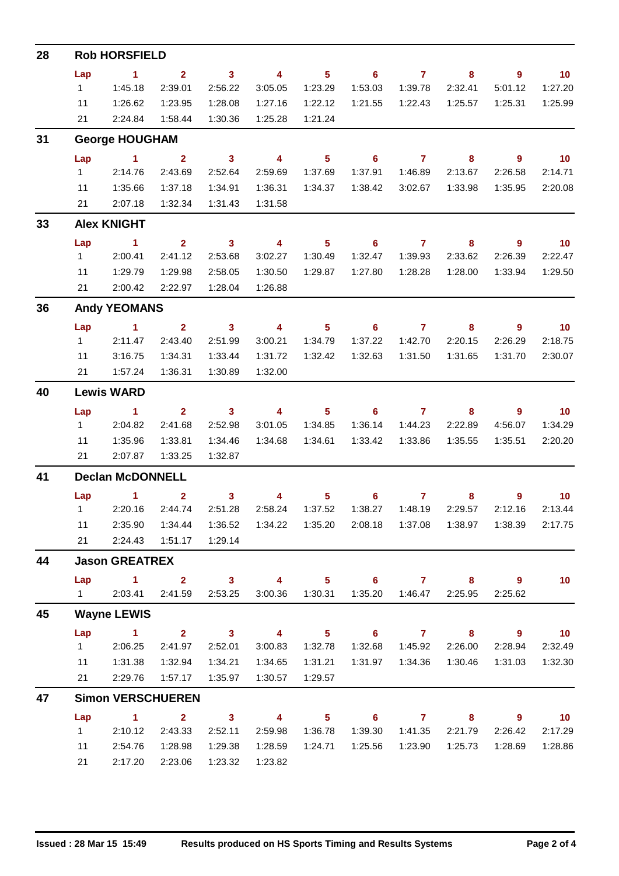| 28 | <b>Rob HORSFIELD</b>                                                                                         |                               |                         |                            |                         |                  |                            |                         |                           |                |                             |  |  |  |
|----|--------------------------------------------------------------------------------------------------------------|-------------------------------|-------------------------|----------------------------|-------------------------|------------------|----------------------------|-------------------------|---------------------------|----------------|-----------------------------|--|--|--|
|    | Lap                                                                                                          | $\sim$ 1                      | $\overline{2}$          | $\overline{\mathbf{3}}$    | $\overline{4}$          | 5 <sub>1</sub>   | $\overline{\phantom{0}}$ 6 | $\overline{7}$          | 8                         | $9^{\circ}$    | $\overline{10}$             |  |  |  |
|    | 1                                                                                                            | 1:45.18                       | 2:39.01                 | 2:56.22                    | 3:05.05                 | 1:23.29          | 1:53.03                    | 1:39.78                 | 2:32.41                   | 5:01.12        | 1:27.20                     |  |  |  |
|    | 11                                                                                                           | 1:26.62                       | 1:23.95                 | 1:28.08                    | 1:27.16                 | 1:22.12          | 1:21.55                    | 1:22.43                 | 1:25.57                   | 1:25.31        | 1:25.99                     |  |  |  |
|    | 21                                                                                                           | 2:24.84                       | 1:58.44                 | 1:30.36                    | 1:25.28                 | 1:21.24          |                            |                         |                           |                |                             |  |  |  |
| 31 | <b>George HOUGHAM</b>                                                                                        |                               |                         |                            |                         |                  |                            |                         |                           |                |                             |  |  |  |
|    | Lap                                                                                                          | $\overline{1}$ $\overline{2}$ |                         | $\overline{\mathbf{3}}$    | $\overline{4}$          | 5 <sub>1</sub>   | $\overline{\phantom{0}}$ 6 | $\overline{7}$          | 8                         | $\overline{9}$ | $\overline{10}$             |  |  |  |
|    | $1 \quad$                                                                                                    | 2:14.76                       | 2:43.69                 | 2:52.64                    | 2:59.69                 | 1:37.69          | 1:37.91                    | 1:46.89                 | 2:13.67                   | 2:26.58        | 2:14.71                     |  |  |  |
|    | 11                                                                                                           | 1:35.66                       | 1:37.18                 | 1:34.91                    | 1:36.31                 | 1:34.37          | 1:38.42                    | 3:02.67                 | 1:33.98                   | 1:35.95        | 2:20.08                     |  |  |  |
|    | 21                                                                                                           | 2:07.18                       | 1:32.34                 | 1:31.43                    | 1:31.58                 |                  |                            |                         |                           |                |                             |  |  |  |
| 33 |                                                                                                              | <b>Alex KNIGHT</b>            |                         |                            |                         |                  |                            |                         |                           |                |                             |  |  |  |
|    | Lap                                                                                                          | $\sim$ 1                      | $\mathbf{2}$            | $\overline{\mathbf{3}}$    | $\overline{\mathbf{4}}$ | 5 <sup>5</sup>   | $6^{\circ}$                | $\mathbf{7}$            | 8                         | $9^{\circ}$    | $\overline{10}$             |  |  |  |
|    | $1 \quad$                                                                                                    | 2:00.41                       | 2:41.12                 | 2:53.68                    | 3:02.27                 | 1:30.49          | 1:32.47                    | 1:39.93                 | 2:33.62                   | 2:26.39        | 2:22.47                     |  |  |  |
|    | 11                                                                                                           | 1:29.79                       | 1:29.98                 | 2:58.05                    | 1:30.50                 | 1:29.87          | 1:27.80                    | 1:28.28                 | 1:28.00                   | 1:33.94        | 1:29.50                     |  |  |  |
|    | 21                                                                                                           | 2:00.42                       | 2:22.97                 | 1:28.04                    | 1:26.88                 |                  |                            |                         |                           |                |                             |  |  |  |
| 36 |                                                                                                              | <b>Andy YEOMANS</b>           |                         |                            |                         |                  |                            |                         |                           |                |                             |  |  |  |
|    | Lap                                                                                                          | $\sim$ 1                      | $\overline{2}$          | $\overline{\mathbf{3}}$    | $\overline{\mathbf{4}}$ | 5 <sub>5</sub>   | $\overline{\phantom{0}}$ 6 | $\overline{7}$          | 8                         | $\overline{9}$ | 10                          |  |  |  |
|    | 1                                                                                                            | 2:11.47                       | 2:43.40                 | 2:51.99                    | 3:00.21                 | 1:34.79          | 1:37.22                    | 1:42.70                 | 2:20.15                   | 2:26.29        | 2:18.75                     |  |  |  |
|    | 11                                                                                                           | 3:16.75                       | 1:34.31                 | 1:33.44                    | 1:31.72                 | 1:32.42          | 1:32.63                    | 1:31.50                 | 1:31.65                   | 1:31.70        | 2:30.07                     |  |  |  |
|    | 21                                                                                                           | 1:57.24                       | 1:36.31                 | 1:30.89                    | 1:32.00                 |                  |                            |                         |                           |                |                             |  |  |  |
| 40 | <b>Lewis WARD</b>                                                                                            |                               |                         |                            |                         |                  |                            |                         |                           |                |                             |  |  |  |
|    | Lap                                                                                                          | $\sim$ 1                      | 2 <sup>1</sup>          | $\overline{\mathbf{3}}$    | $\overline{\mathbf{4}}$ | $5 -$            |                            | $6 \qquad \qquad 7$     | 8                         | 9              | $\overline{\phantom{0}}$ 10 |  |  |  |
|    | 1                                                                                                            | 2:04.82                       | 2:41.68                 | 2:52.98                    | 3:01.05                 | 1:34.85          | 1:36.14                    | 1:44.23                 | 2:22.89                   | 4:56.07        | 1:34.29                     |  |  |  |
|    | 11                                                                                                           | 1:35.96                       | 1:33.81                 | 1:34.46                    | 1:34.68                 | 1:34.61          | 1:33.42                    | 1:33.86                 | 1:35.55                   | 1:35.51        | 2:20.20                     |  |  |  |
|    | 21                                                                                                           | 2:07.87                       | 1:33.25                 | 1:32.87                    |                         |                  |                            |                         |                           |                |                             |  |  |  |
| 41 | <b>Declan McDONNELL</b>                                                                                      |                               |                         |                            |                         |                  |                            |                         |                           |                |                             |  |  |  |
|    |                                                                                                              | Lap $1$ 2                     |                         | $\overline{\mathbf{3}}$    | $\overline{4}$          |                  | $5 \t\t 6 \t\t 7$          |                         |                           | $8 - 8$        | $9 \t 10$                   |  |  |  |
|    |                                                                                                              | 1 2:20.16                     | 2:44.74                 | 2:51.28                    |                         | 2:58.24  1:37.52 | 1:38.27                    | 1:48.19                 | 2:29.57                   | 2:12.16        | 2:13.44                     |  |  |  |
|    | 11                                                                                                           | 2:35.90                       | 1:34.44                 | 1:36.52                    |                         |                  |                            |                         | 2:08.18  1:37.08  1:38.97 | 1:38.39        | 2:17.75                     |  |  |  |
|    | 21                                                                                                           | 2:24.43                       | 1:51.17                 | 1:29.14                    |                         |                  |                            |                         |                           |                |                             |  |  |  |
| 44 |                                                                                                              | <b>Jason GREATREX</b>         |                         |                            |                         |                  |                            |                         |                           |                |                             |  |  |  |
|    | Lap                                                                                                          | $\overline{1}$<br>2:03.41     | $\overline{2}$          | $\overline{\phantom{a}}$ 3 | $\overline{\mathbf{4}}$ | 5 <sub>1</sub>   | $\overline{\phantom{0}}$ 6 | $\mathbf{7}$<br>1:46.47 | 8                         | 9              | 10 <sub>1</sub>             |  |  |  |
|    | 2:41.59<br>2:53.25<br>3:00.36<br>1:30.31<br>1:35.20<br>2:25.95<br>$1 \quad$<br>2:25.62<br><b>Wayne LEWIS</b> |                               |                         |                            |                         |                  |                            |                         |                           |                |                             |  |  |  |
| 45 | Lap                                                                                                          | $\sim$ 1                      | $\overline{\mathbf{2}}$ | $\overline{\mathbf{3}}$    | $\overline{\mathbf{4}}$ | $5 -$            | $\overline{\phantom{a}}$ 6 | $\mathbf{7}$            | $\overline{\mathbf{8}}$   | $9^{\circ}$    | 10                          |  |  |  |
|    | 1                                                                                                            | 2:06.25                       | 2:41.97                 | 2:52.01                    | 3:00.83                 | 1:32.78          | 1:32.68                    | 1:45.92                 | 2:26.00                   | 2:28.94        | 2:32.49                     |  |  |  |
|    | 11                                                                                                           | 1:31.38                       | 1:32.94                 | 1:34.21                    | 1:34.65                 | 1:31.21          | 1:31.97                    | 1:34.36                 | 1:30.46                   | 1:31.03        | 1:32.30                     |  |  |  |
|    | 21                                                                                                           | 2:29.76                       | 1:57.17                 | 1:35.97                    | 1:30.57                 | 1:29.57          |                            |                         |                           |                |                             |  |  |  |
| 47 |                                                                                                              | <b>Simon VERSCHUEREN</b>      |                         |                            |                         |                  |                            |                         |                           |                |                             |  |  |  |
|    | Lap                                                                                                          | $\blacktriangleleft$          | $\overline{2}$          | $\overline{\phantom{a}}$ 3 | $\overline{4}$          | 5 <sub>1</sub>   | $\overline{\phantom{0}}$ 6 | $\overline{7}$          | 8                         | 9              | 10 <sub>1</sub>             |  |  |  |
|    | 1                                                                                                            | 2:10.12                       | 2:43.33                 | 2:52.11                    | 2:59.98                 | 1:36.78          | 1:39.30                    | 1:41.35                 | 2:21.79                   | 2:26.42        | 2:17.29                     |  |  |  |
|    | 11                                                                                                           | 2:54.76                       | 1:28.98                 | 1:29.38                    | 1:28.59                 | 1:24.71          | 1:25.56                    | 1:23.90                 | 1:25.73                   | 1:28.69        | 1:28.86                     |  |  |  |
|    | 21                                                                                                           | 2:17.20                       | 2:23.06                 | 1:23.32                    | 1:23.82                 |                  |                            |                         |                           |                |                             |  |  |  |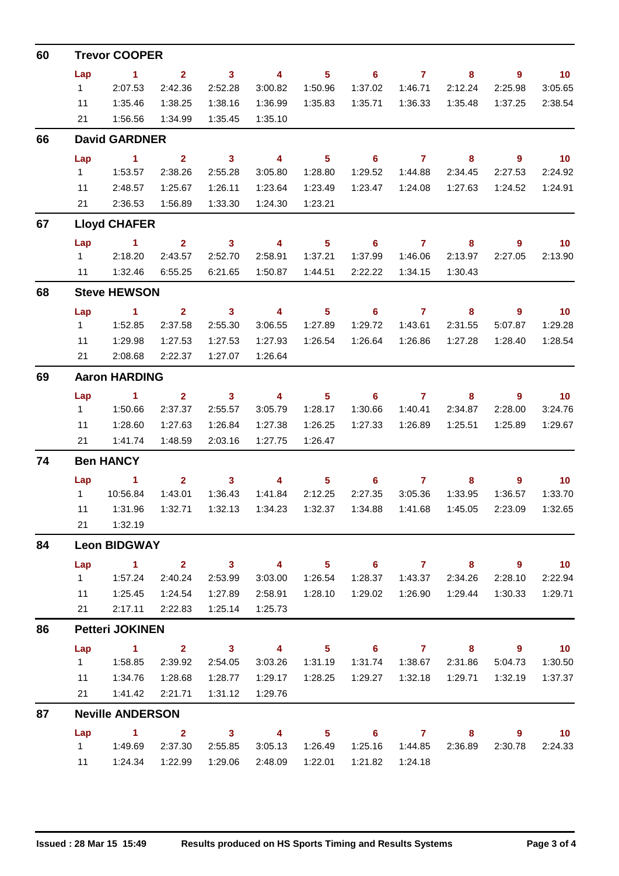| 60 | <b>Trevor COOPER</b>   |                         |                         |                         |                           |                            |                            |                                                                                                                                                                                                                                                                                                                                    |                         |                            |                 |  |  |
|----|------------------------|-------------------------|-------------------------|-------------------------|---------------------------|----------------------------|----------------------------|------------------------------------------------------------------------------------------------------------------------------------------------------------------------------------------------------------------------------------------------------------------------------------------------------------------------------------|-------------------------|----------------------------|-----------------|--|--|
|    | Lap                    | $\sim$ 1                | $\overline{2}$          | $\overline{\mathbf{3}}$ | $\overline{4}$            | $5 -$                      |                            | $6 \qquad \qquad 7$                                                                                                                                                                                                                                                                                                                | 8                       | $\overline{\phantom{a}}$ 9 | $\overline{10}$ |  |  |
|    | $1 \quad$              | 2:07.53                 | 2:42.36                 | 2:52.28                 | 3:00.82                   | 1:50.96                    | 1:37.02                    | 1:46.71                                                                                                                                                                                                                                                                                                                            | 2:12.24                 | 2:25.98                    | 3:05.65         |  |  |
|    | 11                     | 1:35.46                 | 1:38.25                 | 1:38.16                 | 1:36.99                   | 1:35.83                    | 1:35.71                    | 1:36.33                                                                                                                                                                                                                                                                                                                            | 1:35.48                 | 1:37.25                    | 2:38.54         |  |  |
|    | 21                     | 1:56.56                 | 1:34.99                 | 1:35.45                 | 1:35.10                   |                            |                            |                                                                                                                                                                                                                                                                                                                                    |                         |                            |                 |  |  |
| 66 | <b>David GARDNER</b>   |                         |                         |                         |                           |                            |                            |                                                                                                                                                                                                                                                                                                                                    |                         |                            |                 |  |  |
|    | Lap                    | $\sim$ 1                | $\overline{\mathbf{2}}$ | $\overline{\mathbf{3}}$ | $\overline{4}$            | 5 <sup>1</sup>             | $\overline{\phantom{0}}$ 6 | $\overline{7}$                                                                                                                                                                                                                                                                                                                     | 8                       | $9^{\circ}$                | $\overline{10}$ |  |  |
|    | $1 \quad$              | 1:53.57                 | 2:38.26                 | 2:55.28                 | 3:05.80                   | 1:28.80                    | 1:29.52                    | 1:44.88                                                                                                                                                                                                                                                                                                                            | 2:34.45                 | 2:27.53                    | 2:24.92         |  |  |
|    | 11                     | 2:48.57                 | 1:25.67                 | 1:26.11                 | 1:23.64                   | 1:23.49                    | 1:23.47                    | 1:24.08                                                                                                                                                                                                                                                                                                                            | 1:27.63                 | 1:24.52                    | 1:24.91         |  |  |
|    | 21                     | 2:36.53                 | 1:56.89                 | 1:33.30                 | 1:24.30                   | 1:23.21                    |                            |                                                                                                                                                                                                                                                                                                                                    |                         |                            |                 |  |  |
| 67 |                        | <b>Lloyd CHAFER</b>     |                         |                         |                           |                            |                            |                                                                                                                                                                                                                                                                                                                                    |                         |                            |                 |  |  |
|    | Lap                    | $\sim$ 1                | $\overline{2}$          | $\overline{\mathbf{3}}$ | $\overline{4}$            | 5 <sub>5</sub>             | 6                          | $\overline{7}$                                                                                                                                                                                                                                                                                                                     | 8                       | $\overline{9}$             | 10 <sub>1</sub> |  |  |
|    |                        | 1 2:18.20               | 2:43.57                 | 2:52.70                 | 2:58.91                   | 1:37.21                    | 1:37.99                    | 1:46.06                                                                                                                                                                                                                                                                                                                            | 2:13.97                 | 2:27.05                    | 2:13.90         |  |  |
|    |                        | 11  1:32.46             | 6:55.25                 | 6:21.65                 | 1:50.87                   | 1:44.51                    | 2:22.22                    | 1:34.15                                                                                                                                                                                                                                                                                                                            | 1:30.43                 |                            |                 |  |  |
| 68 |                        | <b>Steve HEWSON</b>     |                         |                         |                           |                            |                            |                                                                                                                                                                                                                                                                                                                                    |                         |                            |                 |  |  |
|    | Lap                    | $\sim$ 1                | $\sim$ 2                | $\overline{\mathbf{3}}$ | $\overline{4}$            | 5 <sub>5</sub>             | $\overline{6}$ 7           |                                                                                                                                                                                                                                                                                                                                    | 8                       | 9                          | $\overline{10}$ |  |  |
|    | $1 \quad$              | 1:52.85                 | 2:37.58                 | 2:55.30                 | 3:06.55                   | 1:27.89                    | 1:29.72                    | 1:43.61                                                                                                                                                                                                                                                                                                                            | 2:31.55                 | 5:07.87                    | 1:29.28         |  |  |
|    | 11                     | 1:29.98                 | 1:27.53                 | 1:27.53                 | 1:27.93                   | 1:26.54                    | 1:26.64                    | 1:26.86                                                                                                                                                                                                                                                                                                                            | 1:27.28                 | 1:28.40                    | 1:28.54         |  |  |
|    | 21                     | 2:08.68                 | 2:22.37                 | 1:27.07                 | 1:26.64                   |                            |                            |                                                                                                                                                                                                                                                                                                                                    |                         |                            |                 |  |  |
| 69 |                        | <b>Aaron HARDING</b>    |                         |                         |                           |                            |                            |                                                                                                                                                                                                                                                                                                                                    |                         |                            |                 |  |  |
|    | Lap                    | $\sim$ 1                | $\sim$ 2                | $\overline{\mathbf{3}}$ | $\overline{\mathbf{4}}$   | 5 <sub>1</sub>             | $\overline{\phantom{0}}$ 6 | $\overline{7}$                                                                                                                                                                                                                                                                                                                     | 8                       | $9^{\circ}$                | $\overline{10}$ |  |  |
|    | $1 \quad$              | 1:50.66                 | 2:37.37                 | 2:55.57                 | 3:05.79                   | 1:28.17                    | 1:30.66                    | 1:40.41                                                                                                                                                                                                                                                                                                                            | 2:34.87                 | 2:28.00                    | 3:24.76         |  |  |
|    | 11                     | 1:28.60                 | 1:27.63                 | 1:26.84                 | 1:27.38                   | 1:26.25                    | 1:27.33                    | 1:26.89                                                                                                                                                                                                                                                                                                                            | 1:25.51                 | 1:25.89                    | 1:29.67         |  |  |
|    | 21                     | 1:41.74                 | 1:48.59                 | 2:03.16                 | 1:27.75                   | 1:26.47                    |                            |                                                                                                                                                                                                                                                                                                                                    |                         |                            |                 |  |  |
| 74 | <b>Ben HANCY</b>       |                         |                         |                         |                           |                            |                            |                                                                                                                                                                                                                                                                                                                                    |                         |                            |                 |  |  |
|    | Lap                    | $\blacktriangleleft$    | $2^{\circ}$             | $\sim$ 3                | $\overline{4}$            | 5 <sub>1</sub>             | 6                          | $\overline{\mathbf{7}}$                                                                                                                                                                                                                                                                                                            | 8                       | $\overline{9}$             | 10 <sub>1</sub> |  |  |
|    |                        | 1  10:56.84             | 1:43.01                 | 1:36.43                 | 1:41.84                   | 2:12.25                    | 2:27.35                    | 3:05.36                                                                                                                                                                                                                                                                                                                            | 1:33.95                 | 1:36.57                    | 1:33.70         |  |  |
|    | 11                     | 1:31.96                 | 1:32.71                 | 1:32.13                 | 1:34.23                   | 1:32.37                    | 1:34.88                    | 1:41.68                                                                                                                                                                                                                                                                                                                            | 1:45.05                 | 2:23.09                    | 1:32.65         |  |  |
|    | 21                     | 1:32.19                 |                         |                         |                           |                            |                            |                                                                                                                                                                                                                                                                                                                                    |                         |                            |                 |  |  |
| 84 |                        | <b>Leon BIDGWAY</b>     |                         |                         |                           |                            |                            |                                                                                                                                                                                                                                                                                                                                    |                         |                            |                 |  |  |
|    | Lap                    | $\sim$ 1                | $\overline{\mathbf{2}}$ | $\overline{\mathbf{3}}$ | $\overline{4}$            | 5 <sub>1</sub>             | $\overline{\phantom{0}}$ 6 | $\overline{7}$ and $\overline{7}$ and $\overline{7}$ and $\overline{7}$ and $\overline{7}$ and $\overline{7}$ and $\overline{7}$ and $\overline{7}$ and $\overline{7}$ and $\overline{7}$ and $\overline{7}$ and $\overline{7}$ and $\overline{7}$ and $\overline{7}$ and $\overline{7}$ and $\overline{7}$ and $\overline{7}$ and | 8 <sup>°</sup>          | $9^{\circ}$                | $\overline{10}$ |  |  |
|    | $1 \quad$              | 1:57.24                 | 2:40.24                 | 2:53.99                 | 3:03.00                   | 1:26.54                    | 1:28.37                    | 1:43.37                                                                                                                                                                                                                                                                                                                            | 2:34.26                 | 2:28.10                    | 2:22.94         |  |  |
|    | 11                     | 1:25.45                 | 1:24.54                 | 1:27.89                 | 2:58.91                   | 1:28.10                    | 1:29.02                    | 1:26.90                                                                                                                                                                                                                                                                                                                            | 1:29.44                 | 1:30.33                    | 1:29.71         |  |  |
|    | 21                     | 2:17.11                 | 2:22.83                 | 1:25.14                 | 1:25.73                   |                            |                            |                                                                                                                                                                                                                                                                                                                                    |                         |                            |                 |  |  |
| 86 | <b>Petteri JOKINEN</b> |                         |                         |                         |                           |                            |                            |                                                                                                                                                                                                                                                                                                                                    |                         |                            |                 |  |  |
|    | Lap                    | $\sim$ 1                | $\overline{2}$          | $\overline{\mathbf{3}}$ | $\overline{4}$            | 5 <sub>5</sub>             | $\overline{\phantom{0}}$ 6 | $\overline{7}$                                                                                                                                                                                                                                                                                                                     | 8                       | 9                          | $\overline{10}$ |  |  |
|    | $1 \quad$              | 1:58.85                 | 2:39.92                 | 2:54.05                 | 3:03.26                   | 1:31.19                    | 1:31.74                    | 1:38.67                                                                                                                                                                                                                                                                                                                            | 2:31.86                 | 5:04.73                    | 1:30.50         |  |  |
|    | 11                     | 1:34.76                 | 1:28.68                 | 1:28.77                 | 1:29.17                   | 1:28.25                    | 1:29.27                    | 1:32.18                                                                                                                                                                                                                                                                                                                            | 1:29.71                 | 1:32.19                    | 1:37.37         |  |  |
|    | 21                     | 1:41.42                 | 2:21.71                 | 1:31.12                 | 1:29.76                   |                            |                            |                                                                                                                                                                                                                                                                                                                                    |                         |                            |                 |  |  |
| 87 |                        | <b>Neville ANDERSON</b> |                         |                         |                           |                            |                            |                                                                                                                                                                                                                                                                                                                                    |                         |                            |                 |  |  |
|    | Lap                    | $\sim$ 1.100            | $\overline{\mathbf{2}}$ | $\overline{\mathbf{3}}$ | $\overline{4}$            | $\overline{\phantom{1}}$ 5 |                            | $6\qquad 7$                                                                                                                                                                                                                                                                                                                        | $\overline{\mathbf{8}}$ | $9^{\circ}$                | $\overline{10}$ |  |  |
|    | $1 \quad$              | 1:49.69                 | 2:37.30                 | 2:55.85                 |                           | 3:05.13 1:26.49            | 1:25.16                    | 1:44.85                                                                                                                                                                                                                                                                                                                            | 2:36.89                 | 2:30.78                    | 2:24.33         |  |  |
|    |                        | 11   1:24.34   1:22.99  |                         |                         | 1:29.06  2:48.09  1:22.01 |                            |                            | 1:21.82  1:24.18                                                                                                                                                                                                                                                                                                                   |                         |                            |                 |  |  |